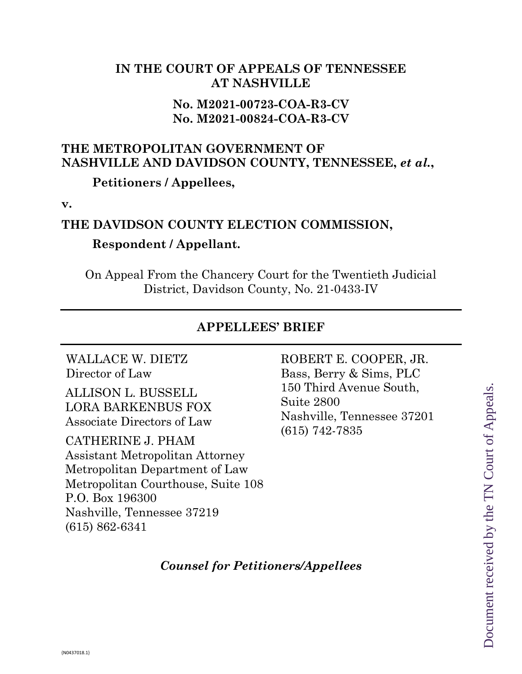## **IN THE COURT OF APPEALS OF TENNESSEE AT NASHVILLE**

## **No. M2021-00723-COA-R3-CV No. M2021-00824-COA-R3-CV**

# **THE METROPOLITAN GOVERNMENT OF NASHVILLE AND DAVIDSON COUNTY, TENNESSEE,** *et al.***,**

**Petitioners / Appellees,**

**v.**

### **THE DAVIDSON COUNTY ELECTION COMMISSION,**

## **Respondent / Appellant.**

On Appeal From the Chancery Court for the Twentieth Judicial District, Davidson County, No. 21-0433-IV

### **APPELLEES' BRIEF**

WALLACE W. DIETZ Director of Law

ALLISON L. BUSSELL LORA BARKENBUS FOX Associate Directors of Law

CATHERINE J. PHAM Assistant Metropolitan Attorney Metropolitan Department of Law Metropolitan Courthouse, Suite 108 P.O. Box 196300 Nashville, Tennessee 37219 (615) 862-6341

ROBERT E. COOPER, JR. Bass, Berry & Sims, PLC 150 Third Avenue South, Suite 2800 Nashville, Tennessee 37201 (615) 742-7835

*Counsel for Petitioners/Appellees*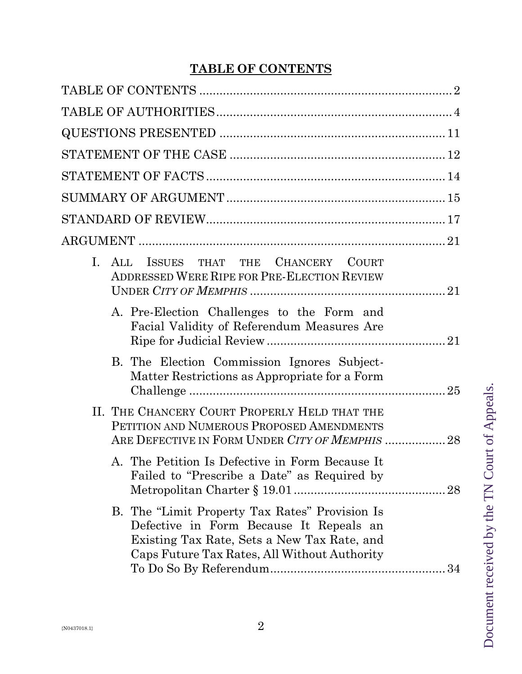# **TABLE OF CONTENTS**

|    | I. ALL ISSUES THAT THE CHANCERY COURT<br>ADDRESSED WERE RIPE FOR PRE-ELECTION REVIEW                                                                                                     |
|----|------------------------------------------------------------------------------------------------------------------------------------------------------------------------------------------|
|    | A. Pre-Election Challenges to the Form and<br>Facial Validity of Referendum Measures Are                                                                                                 |
|    | B. The Election Commission Ignores Subject-<br>Matter Restrictions as Appropriate for a Form                                                                                             |
|    | II. THE CHANCERY COURT PROPERLY HELD THAT THE<br>PETITION AND NUMEROUS PROPOSED AMENDMENTS<br>ARE DEFECTIVE IN FORM UNDER CITY OF MEMPHIS  28                                            |
| А. | The Petition Is Defective in Form Because It<br>Failed to "Prescribe a Date" as Required by<br>28                                                                                        |
|    | B. The "Limit Property Tax Rates" Provision Is<br>Defective in Form Because It Repeals an<br>Existing Tax Rate, Sets a New Tax Rate, and<br>Caps Future Tax Rates, All Without Authority |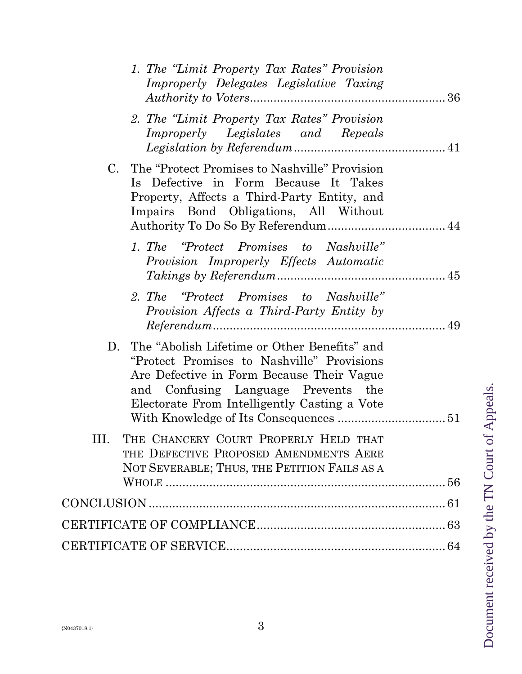| 1. The "Limit Property Tax Rates" Provision<br>Improperly Delegates Legislative Taxing                                                                                                                                               |  |
|--------------------------------------------------------------------------------------------------------------------------------------------------------------------------------------------------------------------------------------|--|
| 2. The "Limit Property Tax Rates" Provision<br>Improperly Legislates and Repeals                                                                                                                                                     |  |
| $C_{\cdot}$<br>The "Protect Promises to Nashville" Provision<br>Is Defective in Form Because It Takes<br>Property, Affects a Third-Party Entity, and<br>Impairs Bond Obligations, All Without                                        |  |
| 1. The "Protect Promises to Nashville"<br>Provision Improperly Effects Automatic                                                                                                                                                     |  |
| 2. The "Protect Promises to Nashville"<br>Provision Affects a Third-Party Entity by                                                                                                                                                  |  |
| The "Abolish Lifetime or Other Benefits" and<br>D.<br>"Protect Promises to Nashville" Provisions<br>Are Defective in Form Because Their Vague<br>and Confusing Language Prevents the<br>Electorate From Intelligently Casting a Vote |  |
| THE CHANCERY COURT PROPERLY HELD THAT<br>THE DEFECTIVE PROPOSED AMENDMENTS AERE<br>NOT SEVERABLE; THUS, THE PETITION FAILS AS A                                                                                                      |  |
|                                                                                                                                                                                                                                      |  |
|                                                                                                                                                                                                                                      |  |
|                                                                                                                                                                                                                                      |  |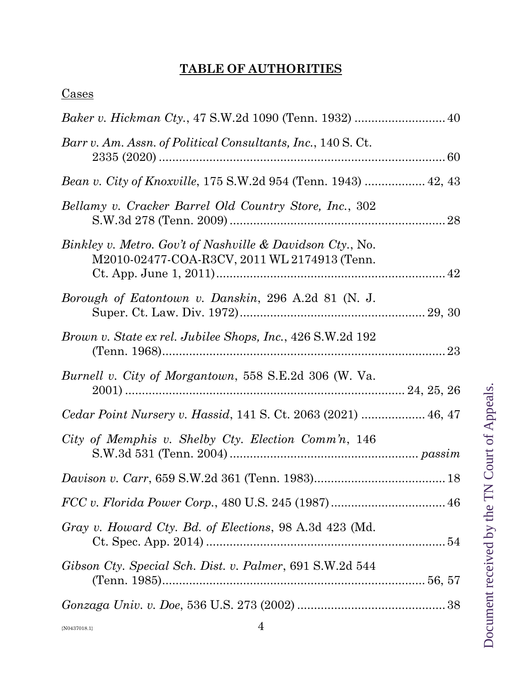# **TABLE OF AUTHORITIES**

| Barr v. Am. Assn. of Political Consultants, Inc., 140 S. Ct.                                              |  |
|-----------------------------------------------------------------------------------------------------------|--|
| Bean v. City of Knoxville, 175 S.W.2d 954 (Tenn. 1943)  42, 43                                            |  |
| Bellamy v. Cracker Barrel Old Country Store, Inc., 302                                                    |  |
| Binkley v. Metro. Gov't of Nashville & Davidson Cty., No.<br>M2010-02477-COA-R3CV, 2011 WL 2174913 (Tenn. |  |
| Borough of Eatontown v. Danskin, 296 A.2d 81 (N. J.                                                       |  |
| <i>Brown v. State ex rel. Jubilee Shops, Inc., 426 S.W.2d 192</i>                                         |  |
| Burnell v. City of Morgantown, 558 S.E.2d 306 (W. Va.                                                     |  |
|                                                                                                           |  |
| Cedar Point Nursery v. Hassid, 141 S. Ct. 2063 (2021)  46, 47                                             |  |
| City of Memphis v. Shelby Cty. Election Comm'n, 146                                                       |  |
|                                                                                                           |  |
|                                                                                                           |  |
| Gray v. Howard Cty. Bd. of Elections, 98 A.3d 423 (Md.                                                    |  |
| Gibson Cty. Special Sch. Dist. v. Palmer, 691 S.W.2d 544                                                  |  |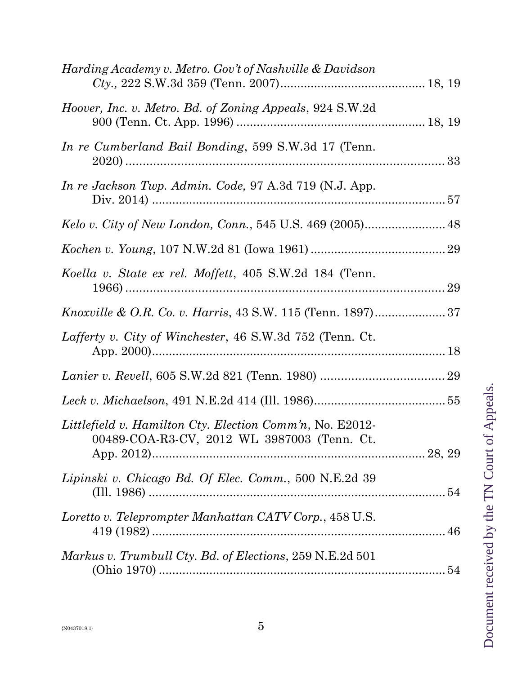| Harding Academy v. Metro. Gov't of Nashville & Davidson                                                 |  |
|---------------------------------------------------------------------------------------------------------|--|
| Hoover, Inc. v. Metro. Bd. of Zoning Appeals, 924 S.W.2d                                                |  |
| In re Cumberland Bail Bonding, 599 S.W.3d 17 (Tenn.                                                     |  |
| In re Jackson Twp. Admin. Code, 97 A.3d 719 (N.J. App.                                                  |  |
|                                                                                                         |  |
|                                                                                                         |  |
| Koella v. State ex rel. Moffett, 405 S.W.2d 184 (Tenn.                                                  |  |
| <i>Knoxville &amp; O.R. Co. v. Harris, 43 S.W. 115 (Tenn. 1897)</i> 37                                  |  |
| Lafferty v. City of Winchester, 46 S.W.3d 752 (Tenn. Ct.)                                               |  |
|                                                                                                         |  |
|                                                                                                         |  |
| Littlefield v. Hamilton Cty. Election Comm'n, No. E2012-<br>00489-COA-R3-CV, 2012 WL 3987003 (Tenn. Ct. |  |
| Lipinski v. Chicago Bd. Of Elec. Comm., 500 N.E.2d 39                                                   |  |
| Loretto v. Teleprompter Manhattan CATV Corp., 458 U.S.                                                  |  |
| Markus v. Trumbull Cty. Bd. of Elections, 259 N.E.2d 501                                                |  |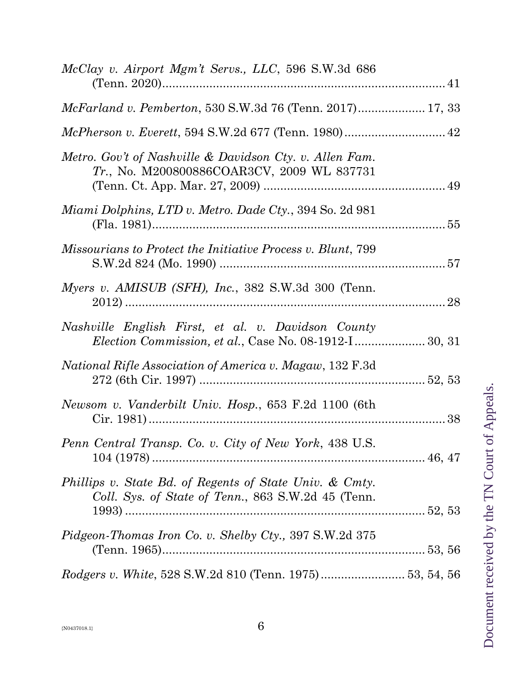| McClay v. Airport Mgm't Servs., LLC, 596 S.W.3d 686                                                                 |  |
|---------------------------------------------------------------------------------------------------------------------|--|
| McFarland v. Pemberton, 530 S.W.3d 76 (Tenn. 2017) 17, 33                                                           |  |
|                                                                                                                     |  |
| Metro. Gov't of Nashville & Davidson Cty. v. Allen Fam.<br>Tr., No. M200800886COAR3CV, 2009 WL 837731               |  |
| Miami Dolphins, LTD v. Metro. Dade Cty., 394 So. 2d 981                                                             |  |
| Missourians to Protect the Initiative Process v. Blunt, 799                                                         |  |
| Myers v. AMISUB (SFH), Inc., 382 S.W.3d 300 (Tenn.                                                                  |  |
| Nashville English First, et al. v. Davidson County<br><i>Election Commission, et al., Case No. 08-1912-I</i> 30, 31 |  |
| <i>National Rifle Association of America v. Magaw,</i> 132 F.3d                                                     |  |
| Newsom v. Vanderbilt Univ. Hosp., 653 F.2d 1100 (6th                                                                |  |
| Penn Central Transp. Co. v. City of New York, 438 U.S.                                                              |  |
| Phillips v. State Bd. of Regents of State Univ. & Cmty.<br>Coll. Sys. of State of Tenn., 863 S.W.2d 45 (Tenn.       |  |
| <i>Pidgeon-Thomas Iron Co. v. Shelby Cty., 397 S.W.2d 375</i>                                                       |  |
| Rodgers v. White, 528 S.W.2d 810 (Tenn. 1975) 53, 54, 56                                                            |  |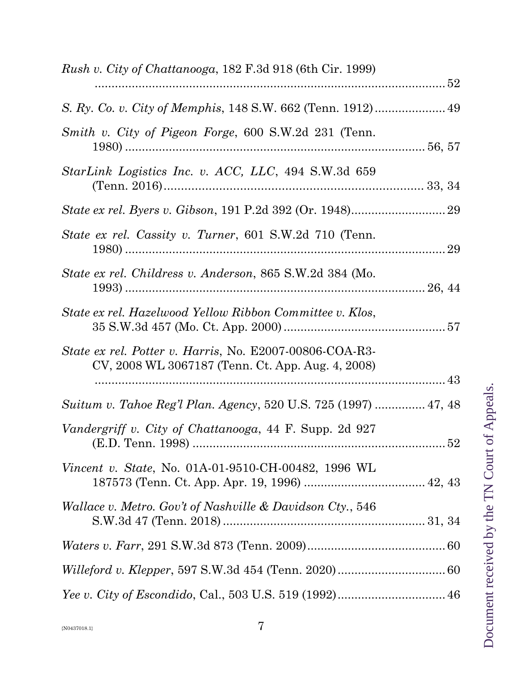| <i>Rush v. City of Chattanooga,</i> 182 F.3d 918 (6th Cir. 1999)                                             |  |
|--------------------------------------------------------------------------------------------------------------|--|
|                                                                                                              |  |
| Smith v. City of Pigeon Forge, 600 S.W.2d 231 (Tenn.                                                         |  |
| StarLink Logistics Inc. v. ACC, LLC, 494 S.W.3d 659                                                          |  |
|                                                                                                              |  |
| State ex rel. Cassity v. Turner, 601 S.W.2d 710 (Tenn.                                                       |  |
| State ex rel. Childress v. Anderson, 865 S.W.2d 384 (Mo.                                                     |  |
| State ex rel. Hazelwood Yellow Ribbon Committee v. Klos,                                                     |  |
| State ex rel. Potter v. Harris, No. E2007-00806-COA-R3-<br>CV, 2008 WL 3067187 (Tenn. Ct. App. Aug. 4, 2008) |  |
| Suitum v. Tahoe Reg'l Plan. Agency, 520 U.S. 725 (1997)  47, 48                                              |  |
| Vandergriff v. City of Chattanooga, 44 F. Supp. 2d 927                                                       |  |
| <i>Vincent v. State, No.</i> 01A-01-9510-CH-00482, 1996 WL                                                   |  |
| Wallace v. Metro. Gov't of Nashville & Davidson Cty., 546                                                    |  |
|                                                                                                              |  |
|                                                                                                              |  |
|                                                                                                              |  |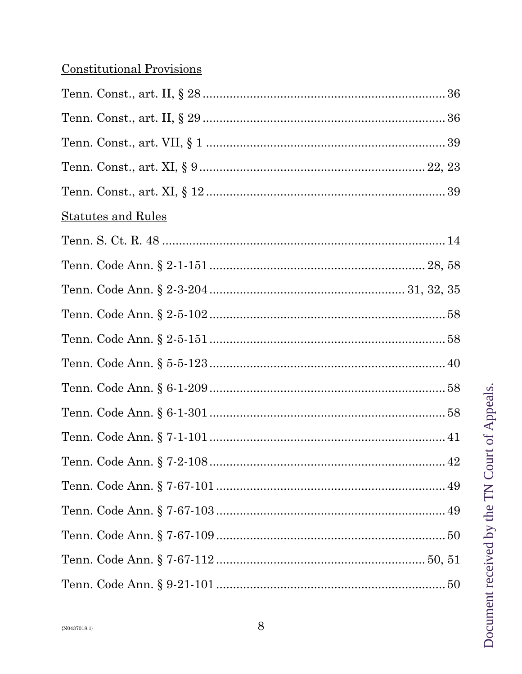# **Constitutional Provisions**

| <u>Statutes and Rules</u> |
|---------------------------|
|                           |
|                           |
|                           |
|                           |
|                           |
|                           |
|                           |
|                           |
|                           |
|                           |
|                           |
|                           |
|                           |
|                           |
|                           |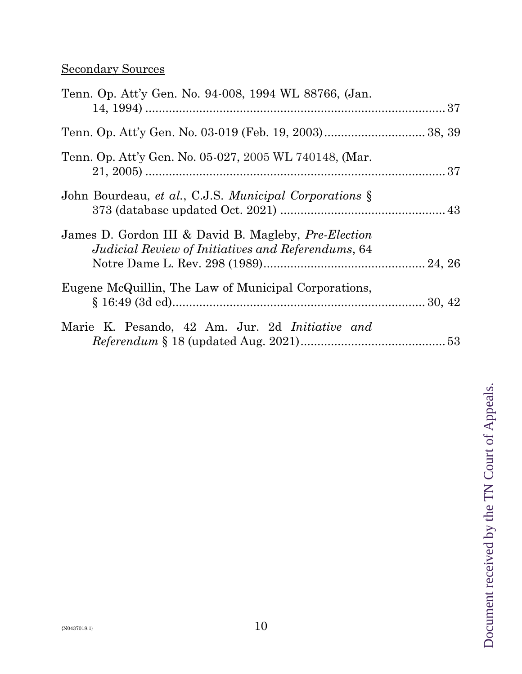# Secondary Sources

| Tenn. Op. Att'y Gen. No. 94-008, 1994 WL 88766, (Jan.                                                             |  |
|-------------------------------------------------------------------------------------------------------------------|--|
|                                                                                                                   |  |
| Tenn. Op. Att'y Gen. No. 05-027, 2005 WL 740148, (Mar.                                                            |  |
| John Bourdeau, et al., C.J.S. Municipal Corporations §                                                            |  |
| James D. Gordon III & David B. Magleby, <i>Pre-Election</i><br>Judicial Review of Initiatives and Referendums, 64 |  |
| Eugene McQuillin, The Law of Municipal Corporations,                                                              |  |
| Marie K. Pesando, 42 Am. Jur. 2d <i>Initiative and</i>                                                            |  |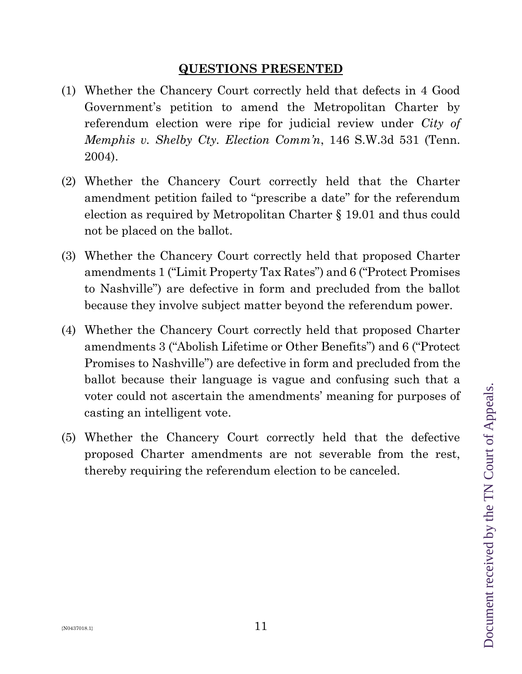# **QUESTIONS PRESENTED**

- (1) Whether the Chancery Court correctly held that defects in 4 Good Government's petition to amend the Metropolitan Charter by referendum election were ripe for judicial review under *City of Memphis v. Shelby Cty. Election Comm'n*, 146 S.W.3d 531 (Tenn. 2004).
- (2) Whether the Chancery Court correctly held that the Charter amendment petition failed to "prescribe a date" for the referendum election as required by Metropolitan Charter § 19.01 and thus could not be placed on the ballot.
- (3) Whether the Chancery Court correctly held that proposed Charter amendments 1 ("Limit Property Tax Rates") and 6 ("Protect Promises to Nashville") are defective in form and precluded from the ballot because they involve subject matter beyond the referendum power.
- (4) Whether the Chancery Court correctly held that proposed Charter amendments 3 ("Abolish Lifetime or Other Benefits") and 6 ("Protect Promises to Nashville") are defective in form and precluded from the ballot because their language is vague and confusing such that a voter could not ascertain the amendments' meaning for purposes of casting an intelligent vote.
- (5) Whether the Chancery Court correctly held that the defective proposed Charter amendments are not severable from the rest, thereby requiring the referendum election to be canceled.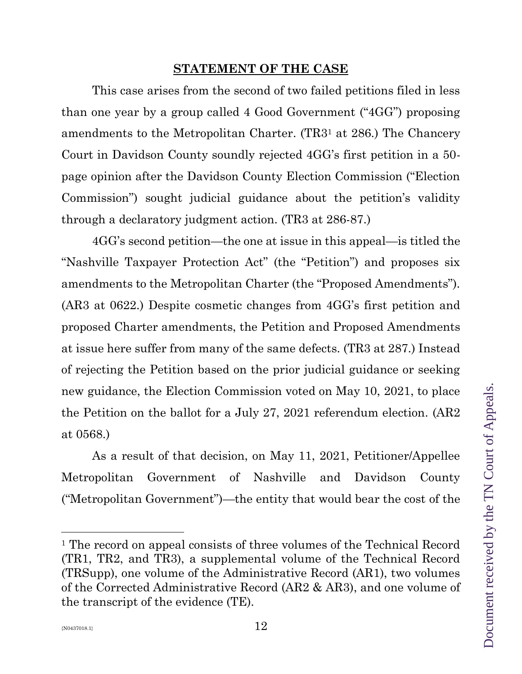## **STATEMENT OF THE CASE**

This case arises from the second of two failed petitions filed in less than one year by a group called 4 Good Government ("4GG") proposing amendments to the Metropolitan Charter. (TR3<sup>1</sup> at 286.) The Chancery Court in Davidson County soundly rejected 4GG's first petition in a 50 page opinion after the Davidson County Election Commission ("Election Commission") sought judicial guidance about the petition's validity through a declaratory judgment action. (TR3 at 286-87.)

4GG's second petition—the one at issue in this appeal—is titled the "Nashville Taxpayer Protection Act" (the "Petition") and proposes six amendments to the Metropolitan Charter (the "Proposed Amendments"). (AR3 at 0622.) Despite cosmetic changes from 4GG's first petition and proposed Charter amendments, the Petition and Proposed Amendments at issue here suffer from many of the same defects. (TR3 at 287.) Instead of rejecting the Petition based on the prior judicial guidance or seeking new guidance, the Election Commission voted on May 10, 2021, to place the Petition on the ballot for a July 27, 2021 referendum election. (AR2 at 0568.)

As a result of that decision, on May 11, 2021, Petitioner/Appellee Metropolitan Government of Nashville and Davidson County ("Metropolitan Government")—the entity that would bear the cost of the

<sup>&</sup>lt;sup>1</sup> The record on appeal consists of three volumes of the Technical Record (TR1, TR2, and TR3), a supplemental volume of the Technical Record (TRSupp), one volume of the Administrative Record (AR1), two volumes of the Corrected Administrative Record (AR2 & AR3), and one volume of the transcript of the evidence (TE).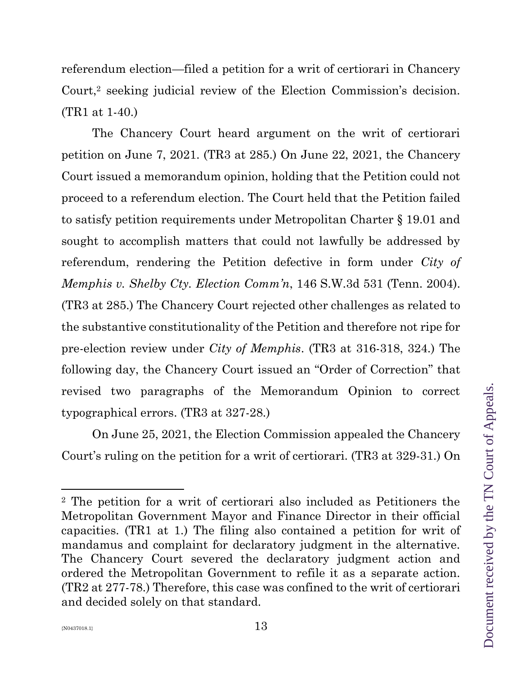referendum election—filed a petition for a writ of certiorari in Chancery Court,<sup>2</sup> seeking judicial review of the Election Commission's decision. (TR1 at 1-40.)

The Chancery Court heard argument on the writ of certiorari petition on June 7, 2021. (TR3 at 285.) On June 22, 2021, the Chancery Court issued a memorandum opinion, holding that the Petition could not proceed to a referendum election. The Court held that the Petition failed to satisfy petition requirements under Metropolitan Charter § 19.01 and sought to accomplish matters that could not lawfully be addressed by referendum, rendering the Petition defective in form under *City of Memphis v. Shelby Cty. Election Comm'n*, 146 S.W.3d 531 (Tenn. 2004). (TR3 at 285.) The Chancery Court rejected other challenges as related to the substantive constitutionality of the Petition and therefore not ripe for pre-election review under *City of Memphis*. (TR3 at 316-318, 324.) The following day, the Chancery Court issued an "Order of Correction" that revised two paragraphs of the Memorandum Opinion to correct typographical errors. (TR3 at 327-28.)

On June 25, 2021, the Election Commission appealed the Chancery Court's ruling on the petition for a writ of certiorari. (TR3 at 329-31.) On

<sup>2</sup> The petition for a writ of certiorari also included as Petitioners the Metropolitan Government Mayor and Finance Director in their official capacities. (TR1 at 1.) The filing also contained a petition for writ of mandamus and complaint for declaratory judgment in the alternative. The Chancery Court severed the declaratory judgment action and ordered the Metropolitan Government to refile it as a separate action. (TR2 at 277-78.) Therefore, this case was confined to the writ of certiorari and decided solely on that standard.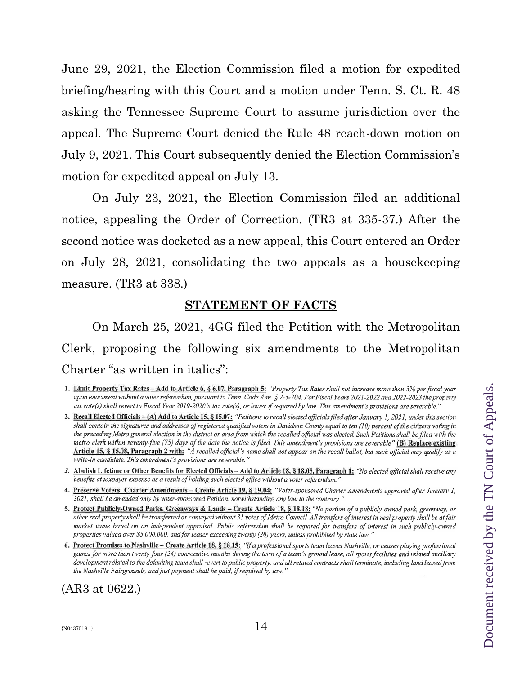June 29, 2021, the Election Commission filed a motion for expedited briefing/hearing with this Court and a motion under Tenn. S. Ct. R. 48 asking the Tennessee Supreme Court to assume jurisdiction over the appeal. The Supreme Court denied the Rule 48 reach-down motion on July 9, 2021. This Court subsequently denied the Election Commission's motion for expedited appeal on July 13.

On July 23, 2021, the Election Commission filed an additional notice, appealing the Order of Correction. (TR3 at 335-37.) After the second notice was docketed as a new appeal, this Court entered an Order on July 28, 2021, consolidating the two appeals as a housekeeping measure. (TR3 at 338.)

## **STATEMENT OF FACTS**

On March 25, 2021, 4GG filed the Petition with the Metropolitan Clerk, proposing the following six amendments to the Metropolitan Charter "as written in italics":

- 3. Abolish Lifetime or Other Benefits for Elected Officials Add to Article 18, § 18.05, Paragraph 1: "No elected official shall receive any benefits at taxpayer expense as a result of holding such elected office without a voter referendum."
- 4. Preserve Voters' Charter Amendments Create Article 19, § 19.04: "Voter-sponsored Charter Amendments approved after January 1, 2021, shall be amended only by voter-sponsored Petition, notwithstanding any law to the contrary."
- 5. Protect Publicly-Owned Parks, Greenways & Lands Create Article 18, § 18.18: "No portion of a publicly-owned park, greenway, or other real property shall be transferred or conveyed without 31 votes of Metro Council. All transfers of interest in real property shall be at fair market value based on an independent appraisal. Public referendum shall be required for transfers of interest in such publicly-owned properties valued over \$5,000,000, and for leases exceeding twenty (20) years, unless prohibited by state law."
- 6. Protect Promises to Nashville Create Article 18, § 18.19: "If a professional sports team leaves Nashville, or ceases playing professional games for more than twenty-four (24) consecutive months during the term of a team's ground lease, all sports facilities and related ancillary development related to the defaulting team shall revert to public property, and all related contracts shall terminate, including land leased from the Nashville Fairgrounds, and just payment shall be paid, if required by law."

(AR3 at 0622.)

<sup>1.</sup> Limit Property Tax Rates - Add to Article 6, § 6.07, Paragraph 5: "Property Tax Rates shall not increase more than 3% per fiscal year upon enactment without a voter referendum, pursuant to Tenn. Code Ann. § 2-3-204. For Fiscal Years 2021-2022 and 2022-2023 the property tax rate(s) shall revert to Fiscal Year 2019-2020's tax rate(s), or lower if required by law. This amendment's provisions are severable."

<sup>2.</sup> Recall Elected Officials - (A) Add to Article 15, § 15.07: "Petitions to recall elected officials filed after January 1, 2021, under this section shall contain the signatures and addresses of registered qualified voters in Davidson County equal to ten (10) percent of the citizens voting in the preceding Metro general election in the district or area from which the recalled official was elected. Such Petitions shall be filed with the metro clerk within seventy-five (75) days of the date the notice is filed. This amendment's provisions are severable" (B) Replace existing Article 15, § 15.08, Paragraph 2 with: "A recalled official's name shall not appear on the recall ballot, but such official may qualify as a write-in candidate. This amendment's provisions are severable."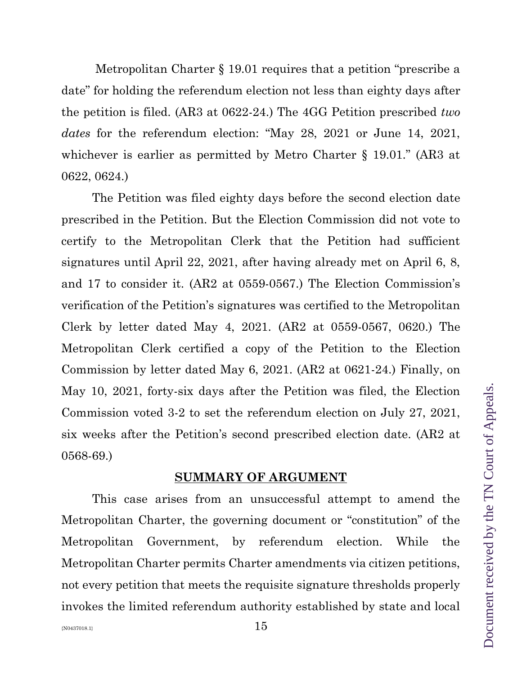Metropolitan Charter § 19.01 requires that a petition "prescribe a date" for holding the referendum election not less than eighty days after the petition is filed. (AR3 at 0622-24.) The 4GG Petition prescribed *two dates* for the referendum election: "May 28, 2021 or June 14, 2021, whichever is earlier as permitted by Metro Charter § 19.01." (AR3 at 0622, 0624.)

The Petition was filed eighty days before the second election date prescribed in the Petition. But the Election Commission did not vote to certify to the Metropolitan Clerk that the Petition had sufficient signatures until April 22, 2021, after having already met on April 6, 8, and 17 to consider it. (AR2 at 0559-0567.) The Election Commission's verification of the Petition's signatures was certified to the Metropolitan Clerk by letter dated May 4, 2021. (AR2 at 0559-0567, 0620.) The Metropolitan Clerk certified a copy of the Petition to the Election Commission by letter dated May 6, 2021. (AR2 at 0621-24.) Finally, on May 10, 2021, forty-six days after the Petition was filed, the Election Commission voted 3-2 to set the referendum election on July 27, 2021, six weeks after the Petition's second prescribed election date. (AR2 at 0568-69.)

#### **SUMMARY OF ARGUMENT**

This case arises from an unsuccessful attempt to amend the Metropolitan Charter, the governing document or "constitution" of the Metropolitan Government, by referendum election. While the Metropolitan Charter permits Charter amendments via citizen petitions, not every petition that meets the requisite signature thresholds properly invokes the limited referendum authority established by state and local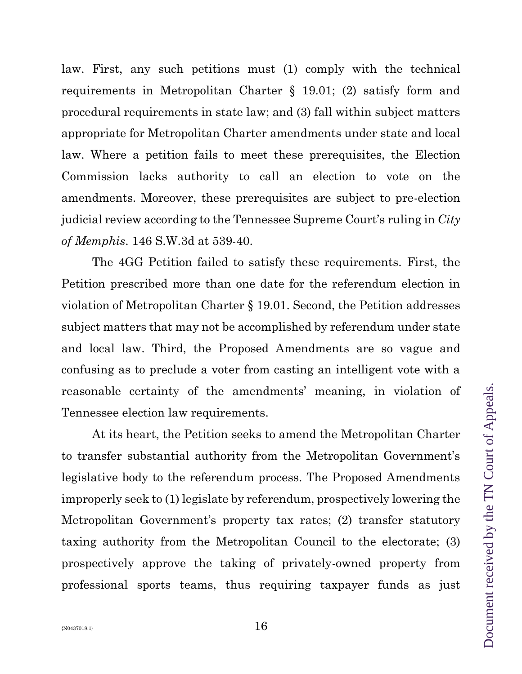law. First, any such petitions must (1) comply with the technical requirements in Metropolitan Charter § 19.01; (2) satisfy form and procedural requirements in state law; and (3) fall within subject matters appropriate for Metropolitan Charter amendments under state and local law. Where a petition fails to meet these prerequisites, the Election Commission lacks authority to call an election to vote on the amendments. Moreover, these prerequisites are subject to pre-election judicial review according to the Tennessee Supreme Court's ruling in *City of Memphis*. 146 S.W.3d at 539-40.

The 4GG Petition failed to satisfy these requirements. First, the Petition prescribed more than one date for the referendum election in violation of Metropolitan Charter § 19.01. Second, the Petition addresses subject matters that may not be accomplished by referendum under state and local law. Third, the Proposed Amendments are so vague and confusing as to preclude a voter from casting an intelligent vote with a reasonable certainty of the amendments' meaning, in violation of Tennessee election law requirements.

At its heart, the Petition seeks to amend the Metropolitan Charter to transfer substantial authority from the Metropolitan Government's legislative body to the referendum process. The Proposed Amendments improperly seek to (1) legislate by referendum, prospectively lowering the Metropolitan Government's property tax rates; (2) transfer statutory taxing authority from the Metropolitan Council to the electorate; (3) prospectively approve the taking of privately-owned property from professional sports teams, thus requiring taxpayer funds as just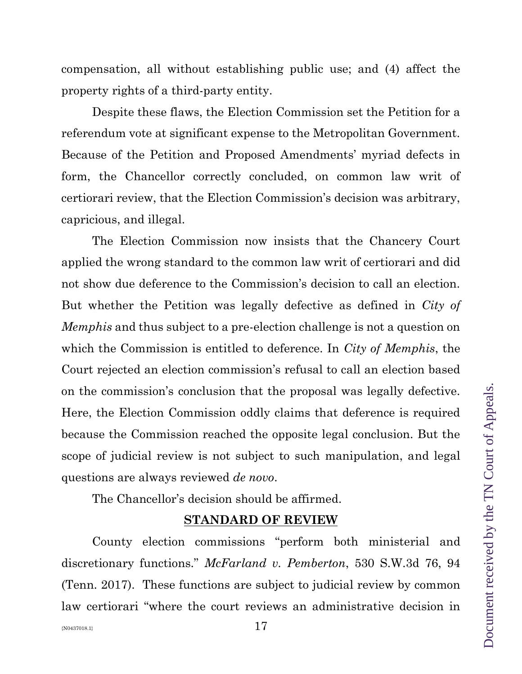compensation, all without establishing public use; and (4) affect the property rights of a third-party entity.

Despite these flaws, the Election Commission set the Petition for a referendum vote at significant expense to the Metropolitan Government. Because of the Petition and Proposed Amendments' myriad defects in form, the Chancellor correctly concluded, on common law writ of certiorari review, that the Election Commission's decision was arbitrary, capricious, and illegal.

The Election Commission now insists that the Chancery Court applied the wrong standard to the common law writ of certiorari and did not show due deference to the Commission's decision to call an election. But whether the Petition was legally defective as defined in *City of Memphis* and thus subject to a pre-election challenge is not a question on which the Commission is entitled to deference. In *City of Memphis*, the Court rejected an election commission's refusal to call an election based on the commission's conclusion that the proposal was legally defective. Here, the Election Commission oddly claims that deference is required because the Commission reached the opposite legal conclusion. But the scope of judicial review is not subject to such manipulation, and legal questions are always reviewed *de novo*.

The Chancellor's decision should be affirmed.

#### **STANDARD OF REVIEW**

County election commissions "perform both ministerial and discretionary functions." *McFarland v. Pemberton*, 530 S.W.3d 76, 94 (Tenn. 2017). These functions are subject to judicial review by common law certiorari "where the court reviews an administrative decision in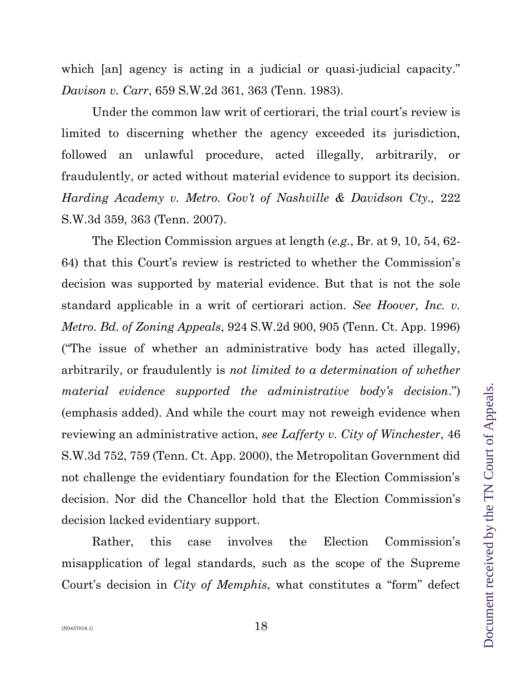Document received by the TN Court of Appeals. Document received by the TN Court of Appeals.

which [an] agency is acting in a judicial or quasi-judicial capacity." *Davison v. Carr*, 659 S.W.2d 361, 363 (Tenn. 1983).

Under the common law writ of certiorari, the trial court's review is limited to discerning whether the agency exceeded its jurisdiction, followed an unlawful procedure, acted illegally, arbitrarily, or fraudulently, or acted without material evidence to support its decision. *Harding Academy v. Metro. Gov't of Nashville & Davidson Cty., 222* S.W.3d 359, 363 (Tenn. 2007).

The Election Commission argues at length (*e.g.*, Br. at 9, 10, 54, 62- 64) that this Court's review is restricted to whether the Commission's decision was supported by material evidence. But that is not the sole standard applicable in a writ of certiorari action. *See Hoover, Inc. v. Metro. Bd. of Zoning Appeals*, 924 S.W.2d 900, 905 (Tenn. Ct. App. 1996) ("The issue of whether an administrative body has acted illegally, arbitrarily, or fraudulently is *not limited to a determination of whether material evidence supported the administrative body's decision*.") (emphasis added). And while the court may not reweigh evidence when reviewing an administrative action, *see Lafferty v. City of Winchester*, 46 S.W.3d 752, 759 (Tenn. Ct. App. 2000), the Metropolitan Government did not challenge the evidentiary foundation for the Election Commission's decision. Nor did the Chancellor hold that the Election Commission's decision lacked evidentiary support.

Rather, this case involves the Election Commission's misapplication of legal standards, such as the scope of the Supreme Court's decision in *City of Memphis*, what constitutes a "form" defect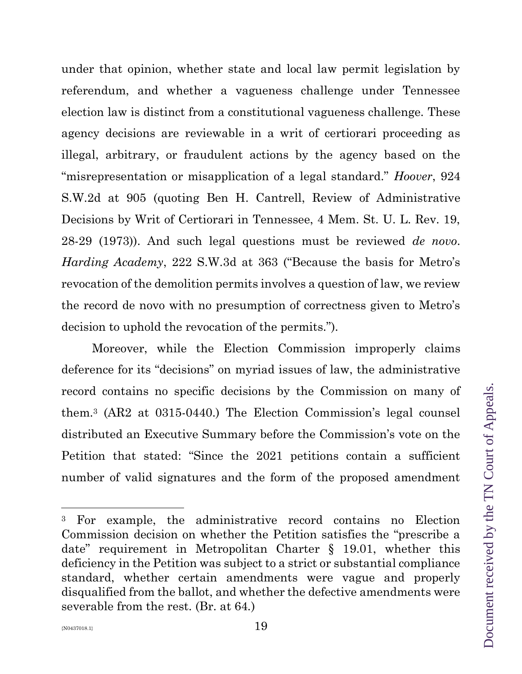under that opinion, whether state and local law permit legislation by referendum, and whether a vagueness challenge under Tennessee election law is distinct from a constitutional vagueness challenge. These agency decisions are reviewable in a writ of certiorari proceeding as illegal, arbitrary, or fraudulent actions by the agency based on the "misrepresentation or misapplication of a legal standard." *Hoover*, 924 S.W.2d at 905 (quoting Ben H. Cantrell, Review of Administrative Decisions by Writ of Certiorari in Tennessee, 4 Mem. St. U. L. Rev. 19, 28-29 (1973)). And such legal questions must be reviewed *de novo*. *Harding Academy*, 222 S.W.3d at 363 ("Because the basis for Metro's revocation of the demolition permits involves a question of law, we review the record de novo with no presumption of correctness given to Metro's decision to uphold the revocation of the permits.").

Moreover, while the Election Commission improperly claims deference for its "decisions" on myriad issues of law, the administrative record contains no specific decisions by the Commission on many of them.<sup>3</sup> (AR2 at 0315-0440.) The Election Commission's legal counsel distributed an Executive Summary before the Commission's vote on the Petition that stated: "Since the 2021 petitions contain a sufficient number of valid signatures and the form of the proposed amendment

<sup>3</sup> For example, the administrative record contains no Election Commission decision on whether the Petition satisfies the "prescribe a date" requirement in Metropolitan Charter § 19.01, whether this deficiency in the Petition was subject to a strict or substantial compliance standard, whether certain amendments were vague and properly disqualified from the ballot, and whether the defective amendments were severable from the rest. (Br. at 64*.*)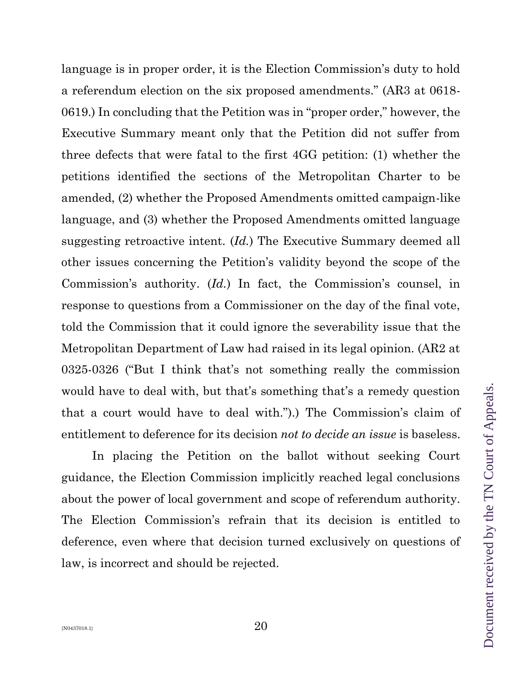language is in proper order, it is the Election Commission's duty to hold a referendum election on the six proposed amendments." (AR3 at 0618- 0619.) In concluding that the Petition was in "proper order," however, the Executive Summary meant only that the Petition did not suffer from three defects that were fatal to the first 4GG petition: (1) whether the petitions identified the sections of the Metropolitan Charter to be amended, (2) whether the Proposed Amendments omitted campaign-like language, and (3) whether the Proposed Amendments omitted language suggesting retroactive intent. (*Id.*) The Executive Summary deemed all other issues concerning the Petition's validity beyond the scope of the Commission's authority. (*Id.*) In fact, the Commission's counsel, in response to questions from a Commissioner on the day of the final vote, told the Commission that it could ignore the severability issue that the Metropolitan Department of Law had raised in its legal opinion. (AR2 at 0325-0326 ("But I think that's not something really the commission would have to deal with, but that's something that's a remedy question that a court would have to deal with.").) The Commission's claim of entitlement to deference for its decision *not to decide an issue* is baseless.

In placing the Petition on the ballot without seeking Court guidance, the Election Commission implicitly reached legal conclusions about the power of local government and scope of referendum authority. The Election Commission's refrain that its decision is entitled to deference, even where that decision turned exclusively on questions of law, is incorrect and should be rejected.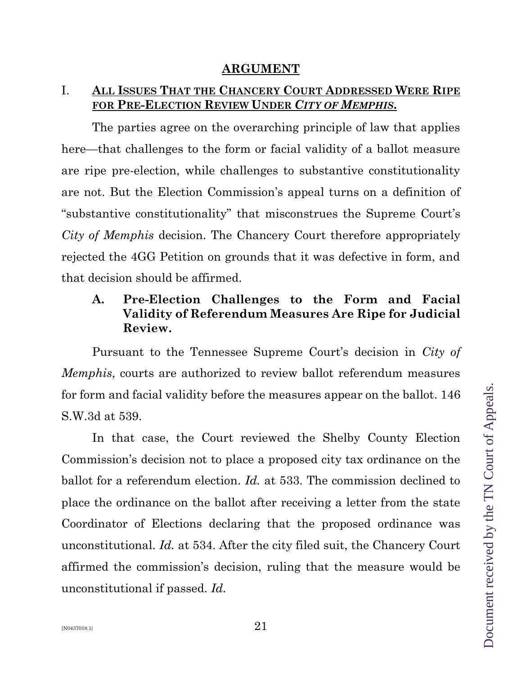# I. **ALL ISSUES THAT THE CHANCERY COURT ADDRESSED WERE RIPE FOR PRE-ELECTION REVIEW UNDER** *CITY OF MEMPHIS***.**

The parties agree on the overarching principle of law that applies here—that challenges to the form or facial validity of a ballot measure are ripe pre-election, while challenges to substantive constitutionality are not. But the Election Commission's appeal turns on a definition of "substantive constitutionality" that misconstrues the Supreme Court's *City of Memphis* decision. The Chancery Court therefore appropriately rejected the 4GG Petition on grounds that it was defective in form, and that decision should be affirmed.

# **A. Pre-Election Challenges to the Form and Facial Validity of Referendum Measures Are Ripe for Judicial Review.**

Pursuant to the Tennessee Supreme Court's decision in *City of Memphis*, courts are authorized to review ballot referendum measures for form and facial validity before the measures appear on the ballot. 146 S.W.3d at 539.

In that case, the Court reviewed the Shelby County Election Commission's decision not to place a proposed city tax ordinance on the ballot for a referendum election. *Id.* at 533. The commission declined to place the ordinance on the ballot after receiving a letter from the state Coordinator of Elections declaring that the proposed ordinance was unconstitutional. *Id.* at 534. After the city filed suit, the Chancery Court affirmed the commission's decision, ruling that the measure would be unconstitutional if passed. *Id.*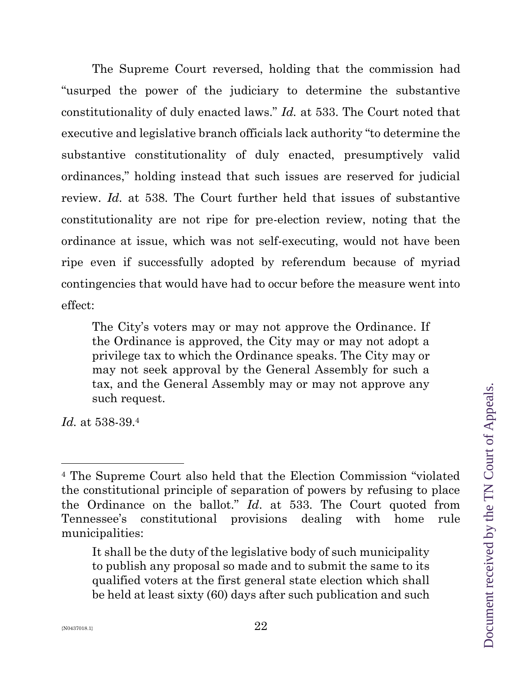The Supreme Court reversed, holding that the commission had "usurped the power of the judiciary to determine the substantive constitutionality of duly enacted laws." *Id.* at 533. The Court noted that executive and legislative branch officials lack authority "to determine the substantive constitutionality of duly enacted, presumptively valid ordinances," holding instead that such issues are reserved for judicial review. *Id.* at 538. The Court further held that issues of substantive constitutionality are not ripe for pre-election review, noting that the ordinance at issue, which was not self-executing, would not have been ripe even if successfully adopted by referendum because of myriad contingencies that would have had to occur before the measure went into effect:

The City's voters may or may not approve the Ordinance. If the Ordinance is approved, the City may or may not adopt a privilege tax to which the Ordinance speaks. The City may or may not seek approval by the General Assembly for such a tax, and the General Assembly may or may not approve any such request.

*Id.* at 538-39.<sup>4</sup>

<sup>4</sup> The Supreme Court also held that the Election Commission "violated the constitutional principle of separation of powers by refusing to place the Ordinance on the ballot." *Id*. at 533. The Court quoted from Tennessee's constitutional provisions dealing with home rule municipalities:

It shall be the duty of the legislative body of such municipality to publish any proposal so made and to submit the same to its qualified voters at the first general state election which shall be held at least sixty (60) days after such publication and such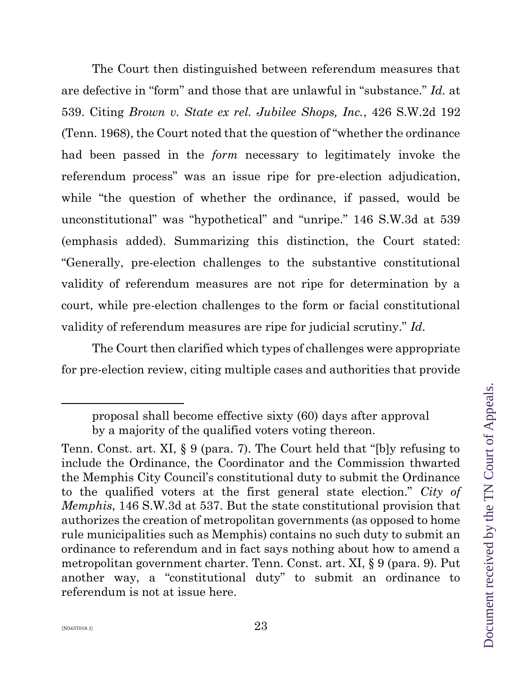The Court then distinguished between referendum measures that are defective in "form" and those that are unlawful in "substance." *Id.* at 539. Citing *Brown v. State ex rel. Jubilee Shops, Inc.*, 426 S.W.2d 192 (Tenn. 1968), the Court noted that the question of "whether the ordinance had been passed in the *form* necessary to legitimately invoke the referendum process" was an issue ripe for pre-election adjudication, while "the question of whether the ordinance, if passed, would be unconstitutional" was "hypothetical" and "unripe." 146 S.W.3d at 539 (emphasis added). Summarizing this distinction, the Court stated: "Generally, pre-election challenges to the substantive constitutional validity of referendum measures are not ripe for determination by a court, while pre-election challenges to the form or facial constitutional validity of referendum measures are ripe for judicial scrutiny." *Id.* 

The Court then clarified which types of challenges were appropriate for pre-election review, citing multiple cases and authorities that provide

proposal shall become effective sixty (60) days after approval by a majority of the qualified voters voting thereon.

Tenn. Const. art. XI, § 9 (para. 7). The Court held that "[b]y refusing to include the Ordinance, the Coordinator and the Commission thwarted the Memphis City Council's constitutional duty to submit the Ordinance to the qualified voters at the first general state election." *City of Memphis*, 146 S.W.3d at 537. But the state constitutional provision that authorizes the creation of metropolitan governments (as opposed to home rule municipalities such as Memphis) contains no such duty to submit an ordinance to referendum and in fact says nothing about how to amend a metropolitan government charter. Tenn. Const. art. XI, § 9 (para. 9). Put another way, a "constitutional duty" to submit an ordinance to referendum is not at issue here.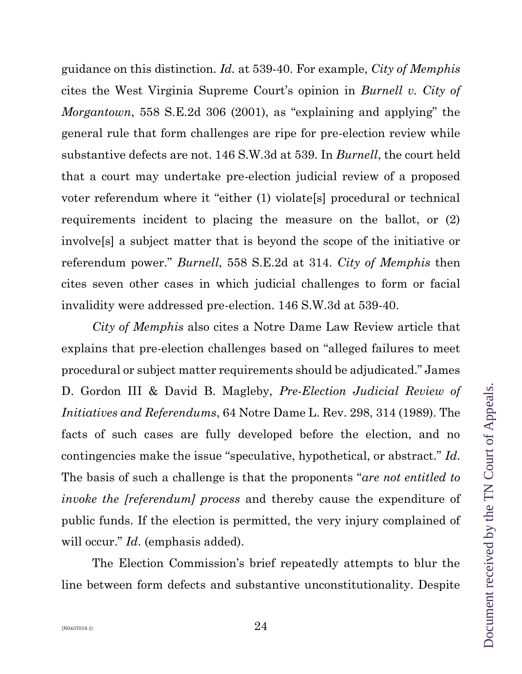guidance on this distinction. *Id.* at 539-40. For example, *City of Memphis* cites the West Virginia Supreme Court's opinion in *Burnell v. City of Morgantown*, 558 S.E.2d 306 (2001), as "explaining and applying" the general rule that form challenges are ripe for pre-election review while substantive defects are not. 146 S.W.3d at 539. In *Burnell*, the court held that a court may undertake pre-election judicial review of a proposed voter referendum where it "either (1) violate[s] procedural or technical requirements incident to placing the measure on the ballot, or (2) involve[s] a subject matter that is beyond the scope of the initiative or referendum power." *Burnell*, 558 S.E.2d at 314. *City of Memphis* then cites seven other cases in which judicial challenges to form or facial invalidity were addressed pre-election. 146 S.W.3d at 539-40.

*City of Memphis* also cites a Notre Dame Law Review article that explains that pre-election challenges based on "alleged failures to meet procedural or subject matter requirements should be adjudicated." James D. Gordon III & David B. Magleby, *Pre-Election Judicial Review of Initiatives and Referendums*, 64 Notre Dame L. Rev. 298, 314 (1989). The facts of such cases are fully developed before the election, and no contingencies make the issue "speculative, hypothetical, or abstract." *Id*. The basis of such a challenge is that the proponents "*are not entitled to invoke the [referendum] process* and thereby cause the expenditure of public funds. If the election is permitted, the very injury complained of will occur." *Id*. (emphasis added).

The Election Commission's brief repeatedly attempts to blur the line between form defects and substantive unconstitutionality. Despite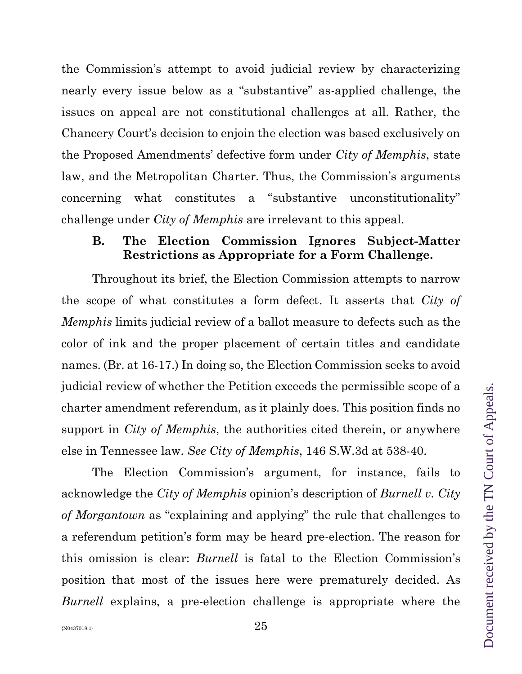the Commission's attempt to avoid judicial review by characterizing nearly every issue below as a "substantive" as-applied challenge, the issues on appeal are not constitutional challenges at all. Rather, the Chancery Court's decision to enjoin the election was based exclusively on the Proposed Amendments' defective form under *City of Memphis*, state law, and the Metropolitan Charter. Thus, the Commission's arguments concerning what constitutes a "substantive unconstitutionality" challenge under *City of Memphis* are irrelevant to this appeal.

### **B. The Election Commission Ignores Subject-Matter Restrictions as Appropriate for a Form Challenge.**

Throughout its brief, the Election Commission attempts to narrow the scope of what constitutes a form defect. It asserts that *City of Memphis* limits judicial review of a ballot measure to defects such as the color of ink and the proper placement of certain titles and candidate names. (Br. at 16-17.) In doing so, the Election Commission seeks to avoid judicial review of whether the Petition exceeds the permissible scope of a charter amendment referendum, as it plainly does. This position finds no support in *City of Memphis*, the authorities cited therein, or anywhere else in Tennessee law. *See City of Memphis*, 146 S.W.3d at 538-40.

The Election Commission's argument, for instance, fails to acknowledge the *City of Memphis* opinion's description of *Burnell v. City of Morgantown* as "explaining and applying" the rule that challenges to a referendum petition's form may be heard pre-election. The reason for this omission is clear: *Burnell* is fatal to the Election Commission's position that most of the issues here were prematurely decided. As *Burnell* explains, a pre-election challenge is appropriate where the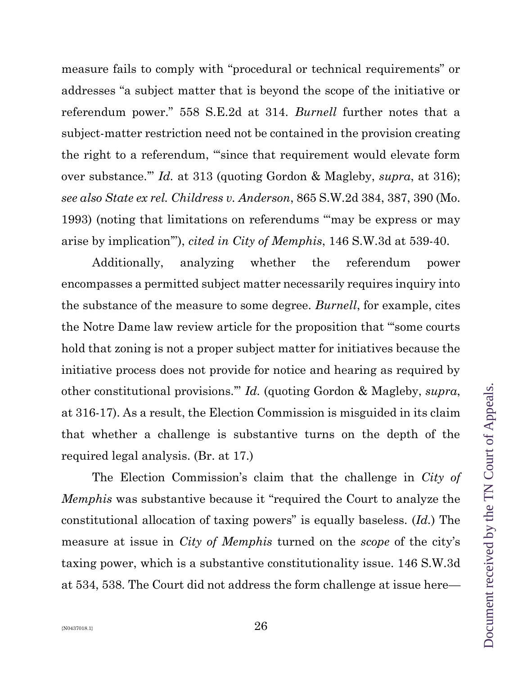measure fails to comply with "procedural or technical requirements" or addresses "a subject matter that is beyond the scope of the initiative or referendum power." 558 S.E.2d at 314. *Burnell* further notes that a subject-matter restriction need not be contained in the provision creating the right to a referendum, "'since that requirement would elevate form over substance.'" *Id.* at 313 (quoting Gordon & Magleby, *supra*, at 316); *see also State ex rel. Childress v. Anderson*, 865 S.W.2d 384, 387, 390 (Mo. 1993) (noting that limitations on referendums "'may be express or may arise by implication'"), *cited in City of Memphis*, 146 S.W.3d at 539-40.

Additionally, analyzing whether the referendum power encompasses a permitted subject matter necessarily requires inquiry into the substance of the measure to some degree. *Burnell*, for example, cites the Notre Dame law review article for the proposition that "'some courts hold that zoning is not a proper subject matter for initiatives because the initiative process does not provide for notice and hearing as required by other constitutional provisions.'" *Id.* (quoting Gordon & Magleby, *supra*, at 316-17). As a result, the Election Commission is misguided in its claim that whether a challenge is substantive turns on the depth of the required legal analysis. (Br. at 17.)

The Election Commission's claim that the challenge in *City of Memphis* was substantive because it "required the Court to analyze the constitutional allocation of taxing powers" is equally baseless. (*Id.*) The measure at issue in *City of Memphis* turned on the *scope* of the city's taxing power, which is a substantive constitutionality issue. 146 S.W.3d at 534, 538. The Court did not address the form challenge at issue here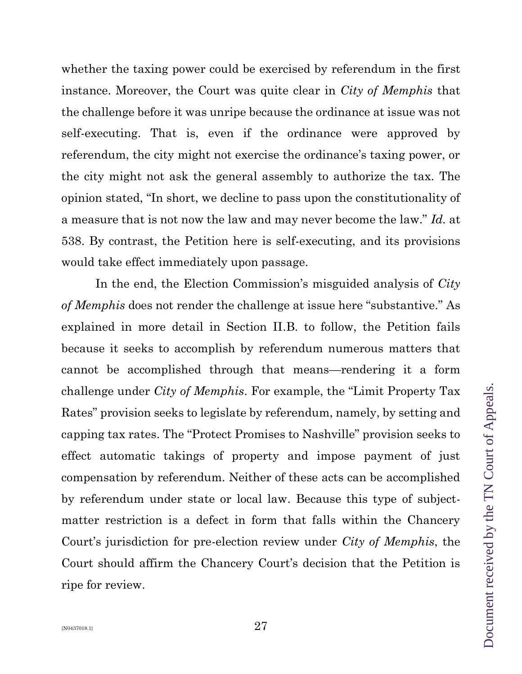whether the taxing power could be exercised by referendum in the first instance. Moreover, the Court was quite clear in *City of Memphis* that the challenge before it was unripe because the ordinance at issue was not self-executing. That is, even if the ordinance were approved by referendum, the city might not exercise the ordinance's taxing power, or the city might not ask the general assembly to authorize the tax. The opinion stated, "In short, we decline to pass upon the constitutionality of a measure that is not now the law and may never become the law." *Id.* at 538. By contrast, the Petition here is self-executing, and its provisions would take effect immediately upon passage.

In the end, the Election Commission's misguided analysis of *City of Memphis* does not render the challenge at issue here "substantive." As explained in more detail in Section II.B. to follow, the Petition fails because it seeks to accomplish by referendum numerous matters that cannot be accomplished through that means—rendering it a form challenge under *City of Memphis*. For example, the "Limit Property Tax Rates" provision seeks to legislate by referendum, namely, by setting and capping tax rates. The "Protect Promises to Nashville" provision seeks to effect automatic takings of property and impose payment of just compensation by referendum. Neither of these acts can be accomplished by referendum under state or local law. Because this type of subjectmatter restriction is a defect in form that falls within the Chancery Court's jurisdiction for pre-election review under *City of Memphis*, the Court should affirm the Chancery Court's decision that the Petition is ripe for review.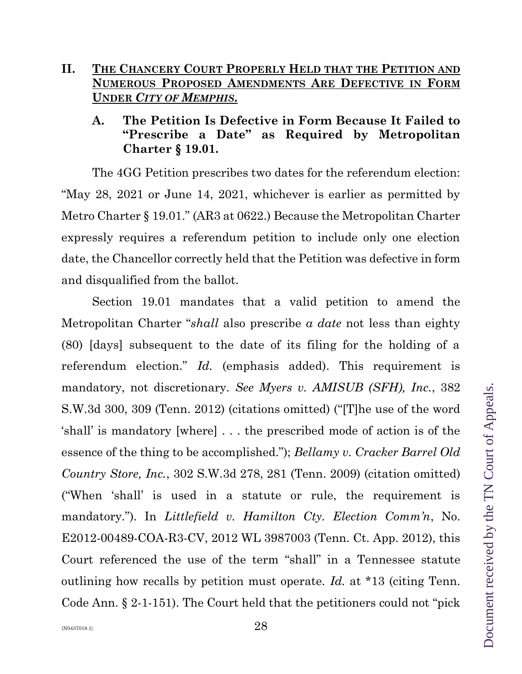# **II. THE CHANCERY COURT PROPERLY HELD THAT THE PETITION AND NUMEROUS PROPOSED AMENDMENTS ARE DEFECTIVE IN FORM UNDER** *CITY OF MEMPHIS***.**

# **A. The Petition Is Defective in Form Because It Failed to "Prescribe a Date" as Required by Metropolitan Charter** § **19.01.**

The 4GG Petition prescribes two dates for the referendum election: "May 28, 2021 or June 14, 2021, whichever is earlier as permitted by Metro Charter § 19.01." (AR3 at 0622.) Because the Metropolitan Charter expressly requires a referendum petition to include only one election date, the Chancellor correctly held that the Petition was defective in form and disqualified from the ballot.

Section 19.01 mandates that a valid petition to amend the Metropolitan Charter "*shall* also prescribe *a date* not less than eighty (80) [days] subsequent to the date of its filing for the holding of a referendum election." *Id.* (emphasis added). This requirement is mandatory, not discretionary. *See Myers v. AMISUB (SFH), Inc.*, 382 S.W.3d 300, 309 (Tenn. 2012) (citations omitted) ("[T]he use of the word 'shall' is mandatory [where] . . . the prescribed mode of action is of the essence of the thing to be accomplished."); *Bellamy v. Cracker Barrel Old Country Store, Inc.*, 302 S.W.3d 278, 281 (Tenn. 2009) (citation omitted) ("When 'shall' is used in a statute or rule, the requirement is mandatory."). In *Littlefield v. Hamilton Cty. Election Comm'n*, No. E2012-00489-COA-R3-CV, 2012 WL 3987003 (Tenn. Ct. App. 2012), this Court referenced the use of the term "shall" in a Tennessee statute outlining how recalls by petition must operate. *Id.* at \*13 (citing Tenn. Code Ann. § 2-1-151). The Court held that the petitioners could not "pick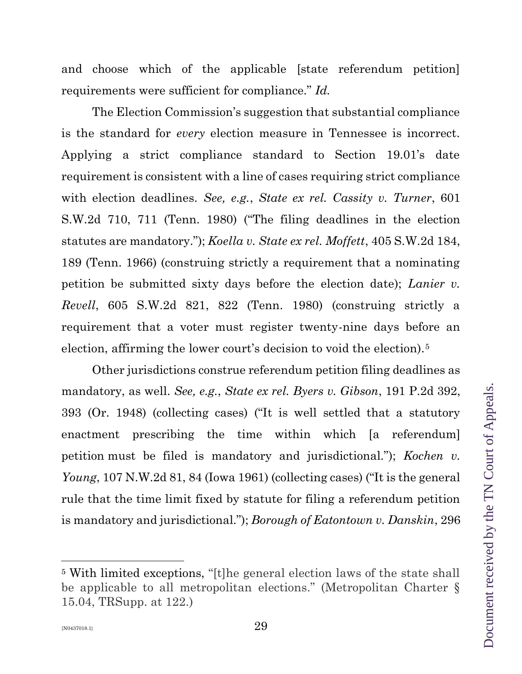and choose which of the applicable [state referendum petition] requirements were sufficient for compliance." *Id.*

The Election Commission's suggestion that substantial compliance is the standard for *every* election measure in Tennessee is incorrect. Applying a strict compliance standard to Section 19.01's date requirement is consistent with a line of cases requiring strict compliance with election deadlines. *See, e.g.*, *State ex rel. Cassity v. Turner*, 601 S.W.2d 710, 711 (Tenn. 1980) ("The filing deadlines in the election statutes are mandatory."); *Koella v. State ex rel. Moffett*, 405 S.W.2d 184, 189 (Tenn. 1966) (construing strictly a requirement that a nominating petition be submitted sixty days before the election date); *Lanier v. Revell*, 605 S.W.2d 821, 822 (Tenn. 1980) (construing strictly a requirement that a voter must register twenty-nine days before an election, affirming the lower court's decision to void the election).<sup>5</sup>

Other jurisdictions construe referendum petition filing deadlines as mandatory, as well. *See, e.g.*, *State ex rel. Byers v. Gibson*, 191 P.2d 392, 393 (Or. 1948) (collecting cases) ("It is well settled that a statutory enactment prescribing the time within which [a referendum] petition must be filed is mandatory and jurisdictional."); *Kochen v. Young*, 107 N.W.2d 81, 84 (Iowa 1961) (collecting cases) ("It is the general rule that the time limit fixed by statute for filing a referendum petition is mandatory and jurisdictional."); *Borough of Eatontown v. Danskin*, 296

<sup>5</sup> With limited exceptions, "[t]he general election laws of the state shall be applicable to all metropolitan elections." (Metropolitan Charter § 15.04, TRSupp. at 122.)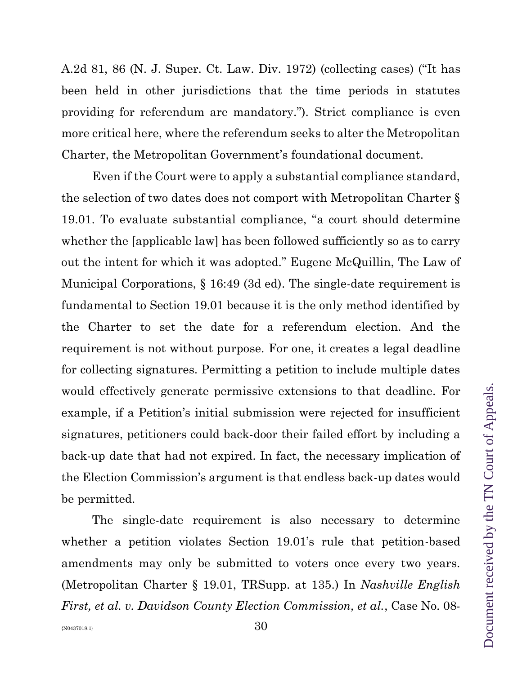A.2d 81, 86 (N. J. Super. Ct. Law. Div. 1972) (collecting cases) ("It has been held in other jurisdictions that the time periods in statutes providing for referendum are mandatory."). Strict compliance is even more critical here, where the referendum seeks to alter the Metropolitan Charter, the Metropolitan Government's foundational document.

Even if the Court were to apply a substantial compliance standard, the selection of two dates does not comport with Metropolitan Charter § 19.01. To evaluate substantial compliance, "a court should determine whether the [applicable law] has been followed sufficiently so as to carry out the intent for which it was adopted." Eugene McQuillin, The Law of Municipal Corporations, § 16:49 (3d ed). The single-date requirement is fundamental to Section 19.01 because it is the only method identified by the Charter to set the date for a referendum election. And the requirement is not without purpose. For one, it creates a legal deadline for collecting signatures. Permitting a petition to include multiple dates would effectively generate permissive extensions to that deadline. For example, if a Petition's initial submission were rejected for insufficient signatures, petitioners could back-door their failed effort by including a back-up date that had not expired. In fact, the necessary implication of the Election Commission's argument is that endless back-up dates would be permitted.

The single-date requirement is also necessary to determine whether a petition violates Section 19.01's rule that petition-based amendments may only be submitted to voters once every two years. (Metropolitan Charter § 19.01, TRSupp. at 135.) In *Nashville English First, et al. v. Davidson County Election Commission, et al.*, Case No. 08-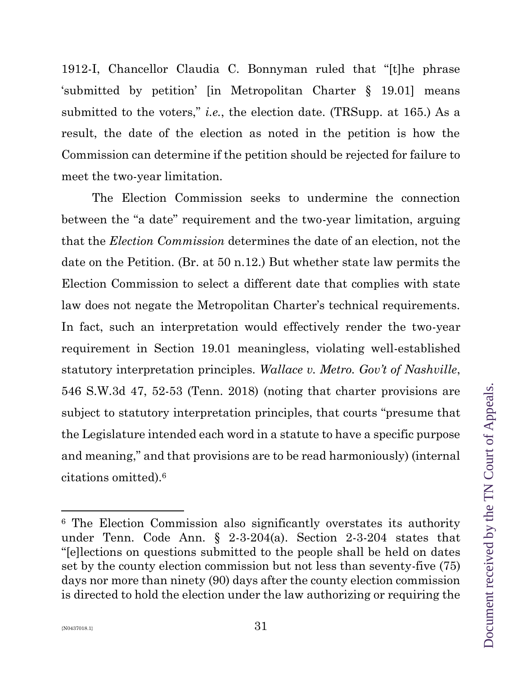1912-I, Chancellor Claudia C. Bonnyman ruled that "[t]he phrase 'submitted by petition' [in Metropolitan Charter § 19.01] means submitted to the voters," *i.e.*, the election date. (TRSupp. at 165.) As a result, the date of the election as noted in the petition is how the Commission can determine if the petition should be rejected for failure to meet the two-year limitation.

The Election Commission seeks to undermine the connection between the "a date" requirement and the two-year limitation, arguing that the *Election Commission* determines the date of an election, not the date on the Petition. (Br. at 50 n.12.) But whether state law permits the Election Commission to select a different date that complies with state law does not negate the Metropolitan Charter's technical requirements. In fact, such an interpretation would effectively render the two-year requirement in Section 19.01 meaningless, violating well-established statutory interpretation principles. *Wallace v. Metro. Gov't of Nashville*, 546 S.W.3d 47, 52-53 (Tenn. 2018) (noting that charter provisions are subject to statutory interpretation principles, that courts "presume that the Legislature intended each word in a statute to have a specific purpose and meaning," and that provisions are to be read harmoniously) (internal citations omitted).<sup>6</sup>

<sup>6</sup> The Election Commission also significantly overstates its authority under Tenn. Code Ann. § 2-3-204(a). Section 2-3-204 states that "[e]lections on questions submitted to the people shall be held on dates set by the county election commission but not less than seventy-five (75) days nor more than ninety (90) days after the county election commission is directed to hold the election under the law authorizing or requiring the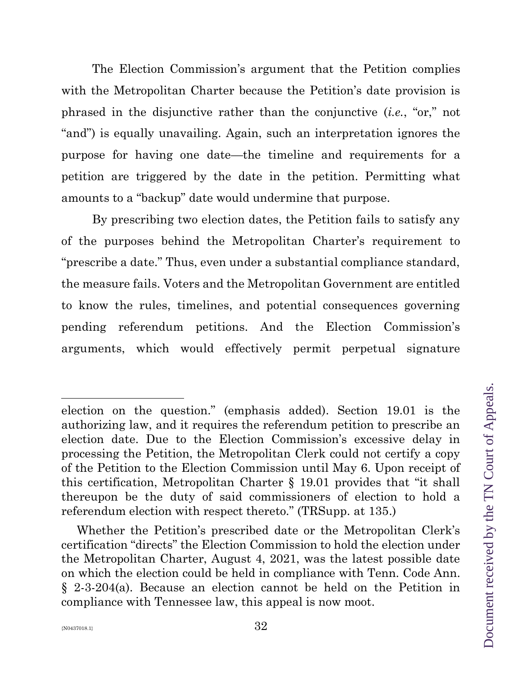The Election Commission's argument that the Petition complies with the Metropolitan Charter because the Petition's date provision is phrased in the disjunctive rather than the conjunctive (*i.e.*, "or," not "and") is equally unavailing. Again, such an interpretation ignores the purpose for having one date—the timeline and requirements for a petition are triggered by the date in the petition. Permitting what amounts to a "backup" date would undermine that purpose.

By prescribing two election dates, the Petition fails to satisfy any of the purposes behind the Metropolitan Charter's requirement to "prescribe a date." Thus, even under a substantial compliance standard, the measure fails. Voters and the Metropolitan Government are entitled to know the rules, timelines, and potential consequences governing pending referendum petitions. And the Election Commission's arguments, which would effectively permit perpetual signature

election on the question." (emphasis added). Section 19.01 is the authorizing law, and it requires the referendum petition to prescribe an election date. Due to the Election Commission's excessive delay in processing the Petition, the Metropolitan Clerk could not certify a copy of the Petition to the Election Commission until May 6. Upon receipt of this certification, Metropolitan Charter § 19.01 provides that "it shall thereupon be the duty of said commissioners of election to hold a referendum election with respect thereto." (TRSupp. at 135.)

Whether the Petition's prescribed date or the Metropolitan Clerk's certification "directs" the Election Commission to hold the election under the Metropolitan Charter, August 4, 2021, was the latest possible date on which the election could be held in compliance with Tenn. Code Ann. § 2-3-204(a). Because an election cannot be held on the Petition in compliance with Tennessee law, this appeal is now moot.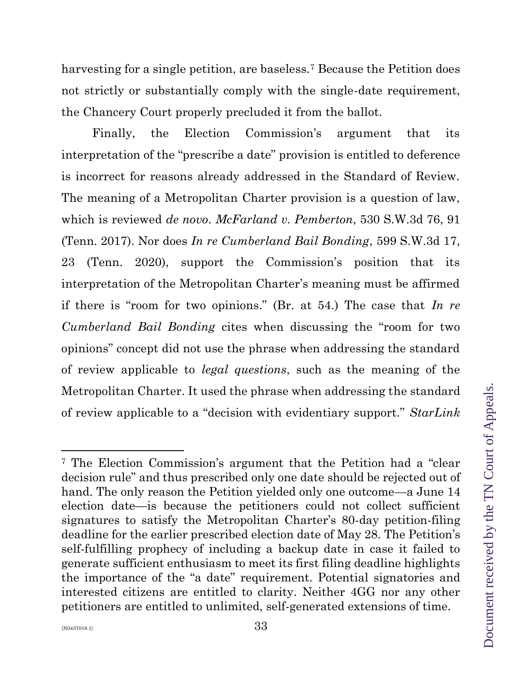harvesting for a single petition, are baseless.<sup>7</sup> Because the Petition does not strictly or substantially comply with the single-date requirement, the Chancery Court properly precluded it from the ballot.

Finally, the Election Commission's argument that its interpretation of the "prescribe a date" provision is entitled to deference is incorrect for reasons already addressed in the Standard of Review. The meaning of a Metropolitan Charter provision is a question of law, which is reviewed *de novo*. *McFarland v. Pemberton*, 530 S.W.3d 76, 91 (Tenn. 2017). Nor does *In re Cumberland Bail Bonding*, 599 S.W.3d 17, 23 (Tenn. 2020), support the Commission's position that its interpretation of the Metropolitan Charter's meaning must be affirmed if there is "room for two opinions." (Br. at 54.) The case that *In re Cumberland Bail Bonding* cites when discussing the "room for two opinions" concept did not use the phrase when addressing the standard of review applicable to *legal questions*, such as the meaning of the Metropolitan Charter. It used the phrase when addressing the standard of review applicable to a "decision with evidentiary support." *StarLink* 

<sup>7</sup> The Election Commission's argument that the Petition had a "clear decision rule" and thus prescribed only one date should be rejected out of hand. The only reason the Petition yielded only one outcome—a June 14 election date—is because the petitioners could not collect sufficient signatures to satisfy the Metropolitan Charter's 80-day petition-filing deadline for the earlier prescribed election date of May 28. The Petition's self-fulfilling prophecy of including a backup date in case it failed to generate sufficient enthusiasm to meet its first filing deadline highlights the importance of the "a date" requirement. Potential signatories and interested citizens are entitled to clarity. Neither 4GG nor any other petitioners are entitled to unlimited, self-generated extensions of time.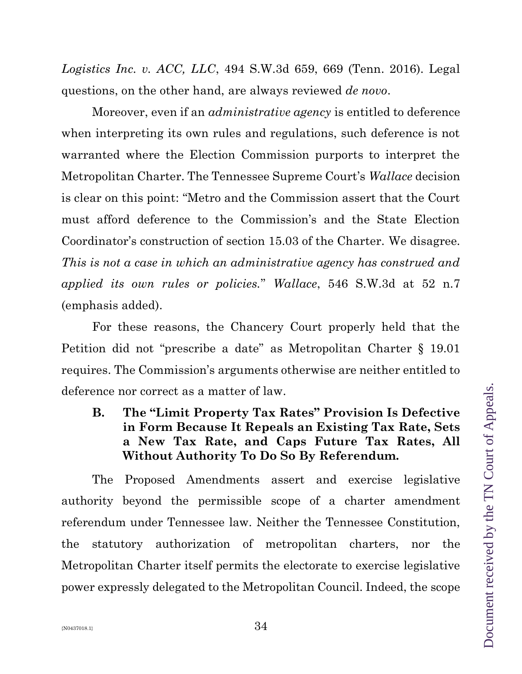*Logistics Inc. v. ACC, LLC*, 494 S.W.3d 659, 669 (Tenn. 2016). Legal questions, on the other hand, are always reviewed *de novo*.

Moreover, even if an *administrative agency* is entitled to deference when interpreting its own rules and regulations, such deference is not warranted where the Election Commission purports to interpret the Metropolitan Charter. The Tennessee Supreme Court's *Wallace* decision is clear on this point: "Metro and the Commission assert that the Court must afford deference to the Commission's and the State Election Coordinator's construction of section 15.03 of the Charter. We disagree. *This is not a case in which an administrative agency has construed and applied its own rules or policies.*" *Wallace*, 546 S.W.3d at 52 n.7 (emphasis added).

For these reasons, the Chancery Court properly held that the Petition did not "prescribe a date" as Metropolitan Charter § 19.01 requires. The Commission's arguments otherwise are neither entitled to deference nor correct as a matter of law.

**B. The "Limit Property Tax Rates" Provision Is Defective in Form Because It Repeals an Existing Tax Rate, Sets a New Tax Rate, and Caps Future Tax Rates, All Without Authority To Do So By Referendum.**

The Proposed Amendments assert and exercise legislative authority beyond the permissible scope of a charter amendment referendum under Tennessee law. Neither the Tennessee Constitution, the statutory authorization of metropolitan charters, nor the Metropolitan Charter itself permits the electorate to exercise legislative power expressly delegated to the Metropolitan Council. Indeed, the scope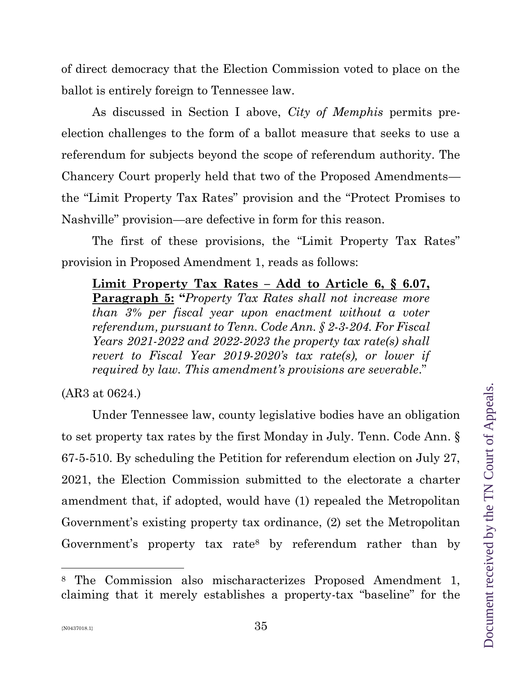of direct democracy that the Election Commission voted to place on the ballot is entirely foreign to Tennessee law.

As discussed in Section I above, *City of Memphis* permits preelection challenges to the form of a ballot measure that seeks to use a referendum for subjects beyond the scope of referendum authority. The Chancery Court properly held that two of the Proposed Amendments the "Limit Property Tax Rates" provision and the "Protect Promises to Nashville" provision—are defective in form for this reason.

The first of these provisions, the "Limit Property Tax Rates" provision in Proposed Amendment 1, reads as follows:

**Limit Property Tax Rates – Add to Article 6, § 6.07, Paragraph 5: "***Property Tax Rates shall not increase more than 3% per fiscal year upon enactment without a voter referendum, pursuant to Tenn. Code Ann. § 2-3-204. For Fiscal Years 2021-2022 and 2022-2023 the property tax rate(s) shall revert to Fiscal Year 2019-2020's tax rate(s), or lower if required by law. This amendment's provisions are severable*."

(AR3 at 0624.)

Under Tennessee law, county legislative bodies have an obligation to set property tax rates by the first Monday in July. Tenn. Code Ann. § 67-5-510. By scheduling the Petition for referendum election on July 27, 2021, the Election Commission submitted to the electorate a charter amendment that, if adopted, would have (1) repealed the Metropolitan Government's existing property tax ordinance, (2) set the Metropolitan Government's property tax rate<sup>8</sup> by referendum rather than by

<sup>8</sup> The Commission also mischaracterizes Proposed Amendment 1, claiming that it merely establishes a property-tax "baseline" for the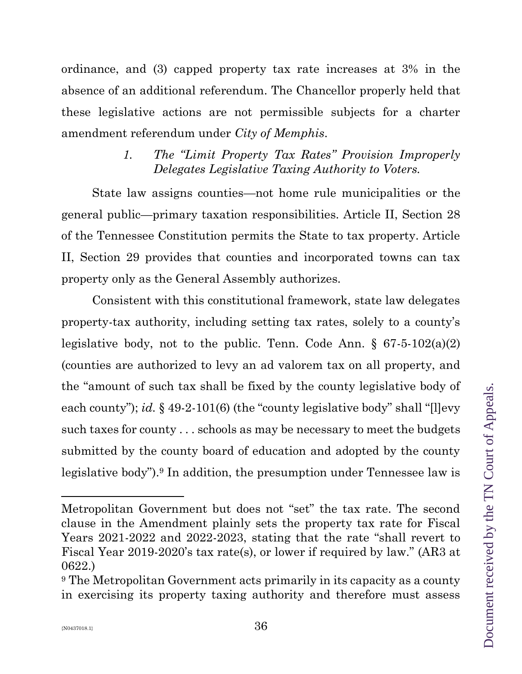ordinance, and (3) capped property tax rate increases at 3% in the absence of an additional referendum. The Chancellor properly held that these legislative actions are not permissible subjects for a charter amendment referendum under *City of Memphis*.

# *1. The "Limit Property Tax Rates" Provision Improperly Delegates Legislative Taxing Authority to Voters.*

State law assigns counties—not home rule municipalities or the general public—primary taxation responsibilities. Article II, Section 28 of the Tennessee Constitution permits the State to tax property. Article II, Section 29 provides that counties and incorporated towns can tax property only as the General Assembly authorizes.

Consistent with this constitutional framework, state law delegates property-tax authority, including setting tax rates, solely to a county's legislative body, not to the public. Tenn. Code Ann.  $\S$  67-5-102(a)(2) (counties are authorized to levy an ad valorem tax on all property, and the "amount of such tax shall be fixed by the county legislative body of each county"); *id.* § 49-2-101(6) (the "county legislative body" shall "[l]evy such taxes for county . . . schools as may be necessary to meet the budgets submitted by the county board of education and adopted by the county legislative body").<sup>9</sup> In addition, the presumption under Tennessee law is

Metropolitan Government but does not "set" the tax rate. The second clause in the Amendment plainly sets the property tax rate for Fiscal Years 2021-2022 and 2022-2023, stating that the rate "shall revert to Fiscal Year 2019-2020's tax rate(s), or lower if required by law." (AR3 at 0622.)

<sup>9</sup> The Metropolitan Government acts primarily in its capacity as a county in exercising its property taxing authority and therefore must assess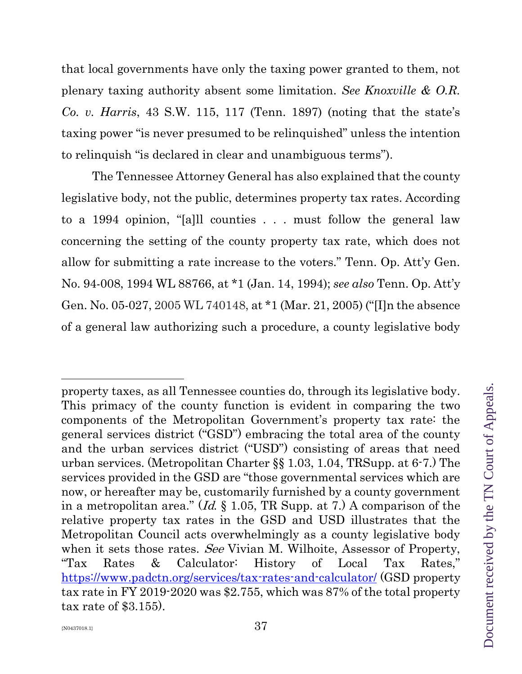that local governments have only the taxing power granted to them, not plenary taxing authority absent some limitation. *See Knoxville & O.R. Co. v. Harris*, 43 S.W. 115, 117 (Tenn. 1897) (noting that the state's taxing power "is never presumed to be relinquished" unless the intention to relinquish "is declared in clear and unambiguous terms").

The Tennessee Attorney General has also explained that the county legislative body, not the public, determines property tax rates. According to a 1994 opinion, "[a]ll counties . . . must follow the general law concerning the setting of the county property tax rate, which does not allow for submitting a rate increase to the voters." Tenn. Op. Att'y Gen. No. 94-008, 1994 WL 88766, at \*1 (Jan. 14, 1994); *see also* Tenn. Op. Att'y Gen. No. 05-027, 2005 WL 740148, at \*1 (Mar. 21, 2005) ("[I]n the absence of a general law authorizing such a procedure, a county legislative body

property taxes, as all Tennessee counties do, through its legislative body. This primacy of the county function is evident in comparing the two components of the Metropolitan Government's property tax rate: the general services district ("GSD") embracing the total area of the county and the urban services district ("USD") consisting of areas that need urban services. (Metropolitan Charter §§ 1.03, 1.04, TRSupp. at 6-7.) The services provided in the GSD are "those governmental services which are now, or hereafter may be, customarily furnished by a county government in a metropolitan area." (*Id.*  $\S$  1.05, TR Supp. at 7.) A comparison of the relative property tax rates in the GSD and USD illustrates that the Metropolitan Council acts overwhelmingly as a county legislative body when it sets those rates. See Vivian M. Wilhoite, Assessor of Property, "Tax Rates & Calculator: History of Local Tax Rates," <https://www.padctn.org/services/tax-rates-and-calculator/> (GSD property tax rate in FY 2019-2020 was \$2.755, which was 87% of the total property tax rate of \$3.155).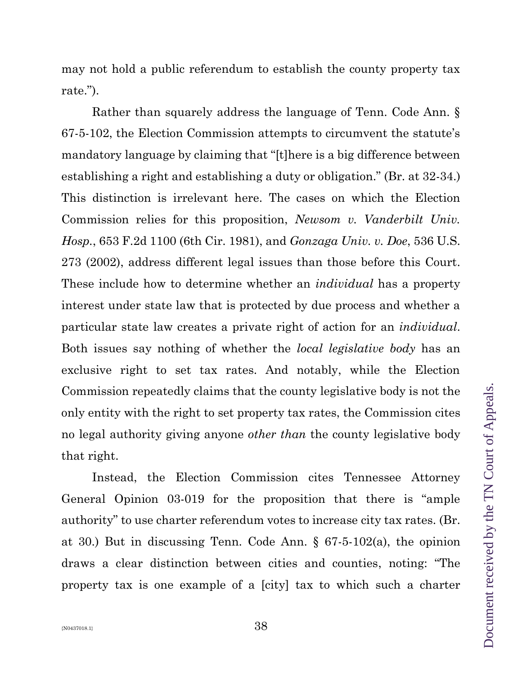may not hold a public referendum to establish the county property tax rate.").

Rather than squarely address the language of Tenn. Code Ann. § 67-5-102, the Election Commission attempts to circumvent the statute's mandatory language by claiming that "[t]here is a big difference between establishing a right and establishing a duty or obligation." (Br. at 32-34.) This distinction is irrelevant here. The cases on which the Election Commission relies for this proposition, *Newsom v. Vanderbilt Univ. Hosp.*, 653 F.2d 1100 (6th Cir. 1981), and *Gonzaga Univ. v. Doe*, 536 U.S. 273 (2002), address different legal issues than those before this Court. These include how to determine whether an *individual* has a property interest under state law that is protected by due process and whether a particular state law creates a private right of action for an *individual*. Both issues say nothing of whether the *local legislative body* has an exclusive right to set tax rates. And notably, while the Election Commission repeatedly claims that the county legislative body is not the only entity with the right to set property tax rates, the Commission cites no legal authority giving anyone *other than* the county legislative body that right.

Instead, the Election Commission cites Tennessee Attorney General Opinion 03-019 for the proposition that there is "ample authority" to use charter referendum votes to increase city tax rates. (Br. at 30.) But in discussing Tenn. Code Ann. § 67-5-102(a), the opinion draws a clear distinction between cities and counties, noting: "The property tax is one example of a [city] tax to which such a charter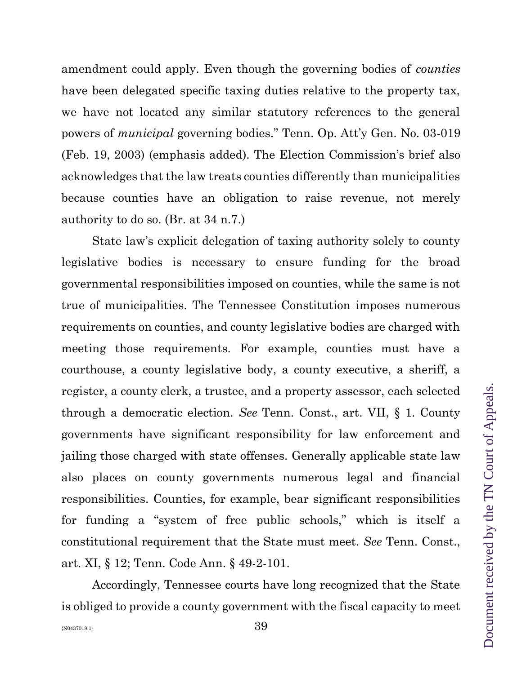amendment could apply. Even though the governing bodies of *counties* have been delegated specific taxing duties relative to the property tax, we have not located any similar statutory references to the general powers of *municipal* governing bodies." Tenn. Op. Att'y Gen. No. 03-019 (Feb. 19, 2003) (emphasis added). The Election Commission's brief also acknowledges that the law treats counties differently than municipalities because counties have an obligation to raise revenue, not merely authority to do so. (Br. at 34 n.7.)

State law's explicit delegation of taxing authority solely to county legislative bodies is necessary to ensure funding for the broad governmental responsibilities imposed on counties, while the same is not true of municipalities. The Tennessee Constitution imposes numerous requirements on counties, and county legislative bodies are charged with meeting those requirements. For example, counties must have a courthouse, a county legislative body, a county executive, a sheriff, a register, a county clerk, a trustee, and a property assessor, each selected through a democratic election. *See* Tenn. Const., art. VII, § 1. County governments have significant responsibility for law enforcement and jailing those charged with state offenses. Generally applicable state law also places on county governments numerous legal and financial responsibilities. Counties, for example, bear significant responsibilities for funding a "system of free public schools," which is itself a constitutional requirement that the State must meet. *See* Tenn. Const., art. XI, § 12; Tenn. Code Ann. § 49-2-101.

Accordingly, Tennessee courts have long recognized that the State is obliged to provide a county government with the fiscal capacity to meet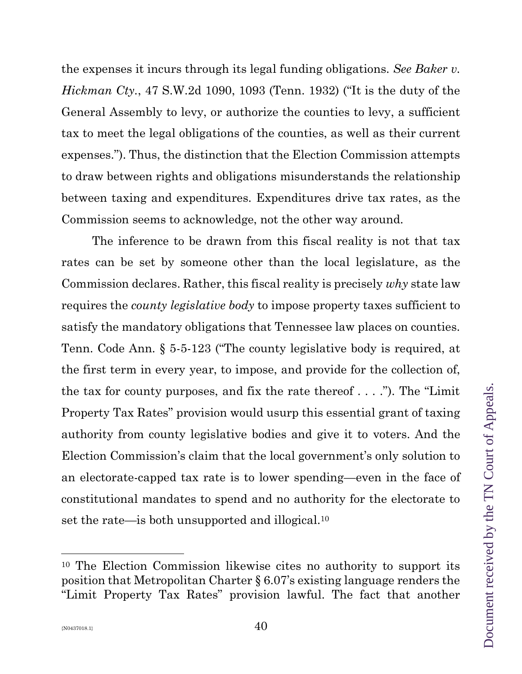the expenses it incurs through its legal funding obligations. *See Baker v. Hickman Cty.*, 47 S.W.2d 1090, 1093 (Tenn. 1932) ("It is the duty of the General Assembly to levy, or authorize the counties to levy, a sufficient tax to meet the legal obligations of the counties, as well as their current expenses."). Thus, the distinction that the Election Commission attempts to draw between rights and obligations misunderstands the relationship between taxing and expenditures. Expenditures drive tax rates, as the Commission seems to acknowledge, not the other way around.

The inference to be drawn from this fiscal reality is not that tax rates can be set by someone other than the local legislature, as the Commission declares. Rather, this fiscal reality is precisely *why* state law requires the *county legislative body* to impose property taxes sufficient to satisfy the mandatory obligations that Tennessee law places on counties. Tenn. Code Ann. § 5-5-123 ("The county legislative body is required, at the first term in every year, to impose, and provide for the collection of, the tax for county purposes, and fix the rate thereof  $\dots$  ."). The "Limit" Property Tax Rates" provision would usurp this essential grant of taxing authority from county legislative bodies and give it to voters. And the Election Commission's claim that the local government's only solution to an electorate-capped tax rate is to lower spending—even in the face of constitutional mandates to spend and no authority for the electorate to set the rate—is both unsupported and illogical.<sup>10</sup>

<sup>10</sup> The Election Commission likewise cites no authority to support its position that Metropolitan Charter § 6.07's existing language renders the "Limit Property Tax Rates" provision lawful. The fact that another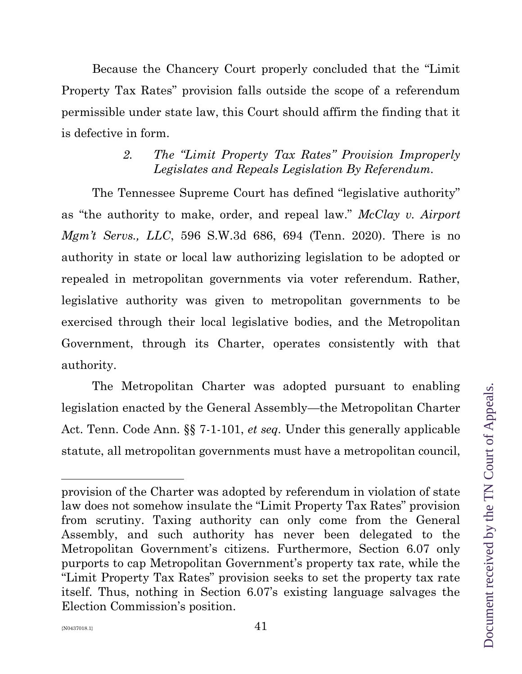Because the Chancery Court properly concluded that the "Limit Property Tax Rates" provision falls outside the scope of a referendum permissible under state law, this Court should affirm the finding that it is defective in form.

# *2. The "Limit Property Tax Rates" Provision Improperly Legislates and Repeals Legislation By Referendum.*

The Tennessee Supreme Court has defined "legislative authority" as "the authority to make, order, and repeal law." *McClay v. Airport Mgm't Servs., LLC*, 596 S.W.3d 686, 694 (Tenn. 2020). There is no authority in state or local law authorizing legislation to be adopted or repealed in metropolitan governments via voter referendum. Rather, legislative authority was given to metropolitan governments to be exercised through their local legislative bodies, and the Metropolitan Government, through its Charter, operates consistently with that authority.

The Metropolitan Charter was adopted pursuant to enabling legislation enacted by the General Assembly—the Metropolitan Charter Act. Tenn. Code Ann. §§ 7-1-101, *et seq.* Under this generally applicable statute, all metropolitan governments must have a metropolitan council,

provision of the Charter was adopted by referendum in violation of state law does not somehow insulate the "Limit Property Tax Rates" provision from scrutiny. Taxing authority can only come from the General Assembly, and such authority has never been delegated to the Metropolitan Government's citizens. Furthermore, Section 6.07 only purports to cap Metropolitan Government's property tax rate, while the "Limit Property Tax Rates" provision seeks to set the property tax rate itself. Thus, nothing in Section 6.07's existing language salvages the Election Commission's position.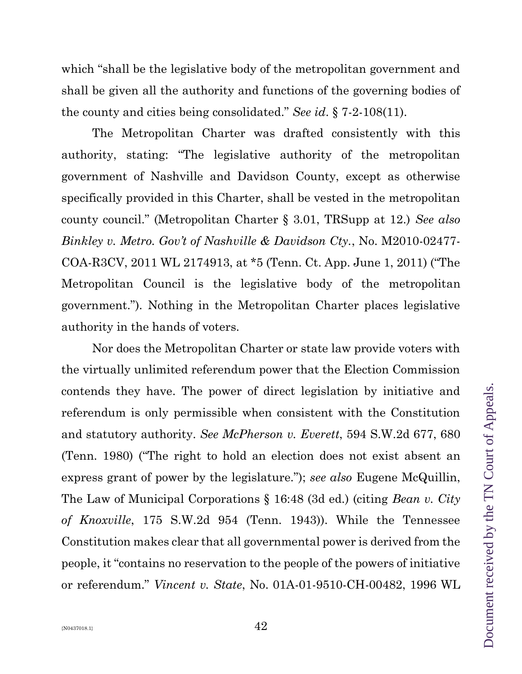which "shall be the legislative body of the metropolitan government and shall be given all the authority and functions of the governing bodies of the county and cities being consolidated." *See id*. § 7-2-108(11).

The Metropolitan Charter was drafted consistently with this authority, stating: "The legislative authority of the metropolitan government of Nashville and Davidson County, except as otherwise specifically provided in this Charter, shall be vested in the metropolitan county council." (Metropolitan Charter § 3.01, TRSupp at 12.) *See also Binkley v. Metro. Gov't of Nashville & Davidson Cty.*, No. M2010-02477- COA-R3CV, 2011 WL 2174913, at \*5 (Tenn. Ct. App. June 1, 2011) ("The Metropolitan Council is the legislative body of the metropolitan government."). Nothing in the Metropolitan Charter places legislative authority in the hands of voters.

Nor does the Metropolitan Charter or state law provide voters with the virtually unlimited referendum power that the Election Commission contends they have. The power of direct legislation by initiative and referendum is only permissible when consistent with the Constitution and statutory authority. *See McPherson v. Everett*, 594 S.W.2d 677, 680 (Tenn. 1980) ("The right to hold an election does not exist absent an express grant of power by the legislature."); *see also* Eugene McQuillin, The Law of Municipal Corporations § 16:48 (3d ed.) (citing *Bean v. City of Knoxville*, 175 S.W.2d 954 (Tenn. 1943)). While the Tennessee Constitution makes clear that all governmental power is derived from the people, it "contains no reservation to the people of the powers of initiative or referendum." *Vincent v. State*, No. 01A-01-9510-CH-00482, 1996 WL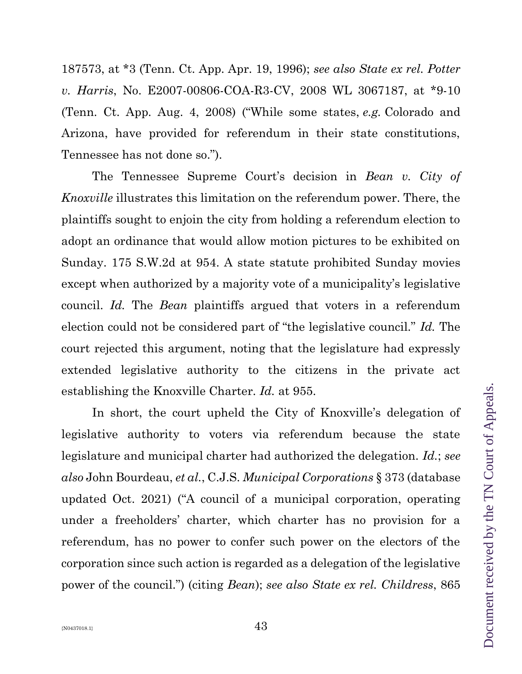187573, at \*3 (Tenn. Ct. App. Apr. 19, 1996); *see also State ex rel. Potter v. Harris*, No. E2007-00806-COA-R3-CV, 2008 WL 3067187, at \*9-10 (Tenn. Ct. App. Aug. 4, 2008) ("While some states, *e.g.* Colorado and Arizona, have provided for referendum in their state constitutions, Tennessee has not done so.").

The Tennessee Supreme Court's decision in *Bean v. City of Knoxville* illustrates this limitation on the referendum power. There, the plaintiffs sought to enjoin the city from holding a referendum election to adopt an ordinance that would allow motion pictures to be exhibited on Sunday. 175 S.W.2d at 954. A state statute prohibited Sunday movies except when authorized by a majority vote of a municipality's legislative council. *Id.* The *Bean* plaintiffs argued that voters in a referendum election could not be considered part of "the legislative council." *Id.* The court rejected this argument, noting that the legislature had expressly extended legislative authority to the citizens in the private act establishing the Knoxville Charter. *Id.* at 955.

In short, the court upheld the City of Knoxville's delegation of legislative authority to voters via referendum because the state legislature and municipal charter had authorized the delegation. *Id.*; *see also* John Bourdeau, *et al.*, C.J.S. *Municipal Corporations* § 373 (database updated Oct. 2021) ("A council of a municipal corporation, operating under a freeholders' charter, which charter has no provision for a referendum, has no power to confer such power on the electors of the corporation since such action is regarded as a delegation of the legislative power of the council.") (citing *Bean*); *see also State ex rel. Childress*, 865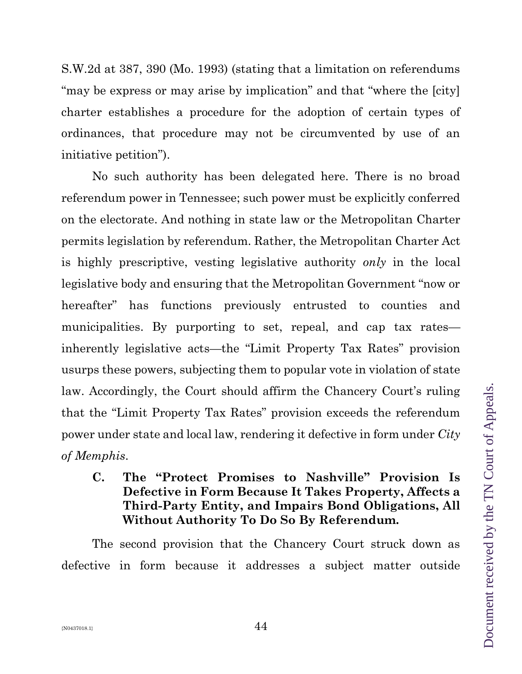S.W.2d at 387, 390 (Mo. 1993) (stating that a limitation on referendums "may be express or may arise by implication" and that "where the [city] charter establishes a procedure for the adoption of certain types of ordinances, that procedure may not be circumvented by use of an initiative petition").

No such authority has been delegated here. There is no broad referendum power in Tennessee; such power must be explicitly conferred on the electorate. And nothing in state law or the Metropolitan Charter permits legislation by referendum. Rather, the Metropolitan Charter Act is highly prescriptive, vesting legislative authority *only* in the local legislative body and ensuring that the Metropolitan Government "now or hereafter" has functions previously entrusted to counties and municipalities. By purporting to set, repeal, and cap tax rates inherently legislative acts—the "Limit Property Tax Rates" provision usurps these powers, subjecting them to popular vote in violation of state law. Accordingly, the Court should affirm the Chancery Court's ruling that the "Limit Property Tax Rates" provision exceeds the referendum power under state and local law, rendering it defective in form under *City of Memphis*.

**C. The "Protect Promises to Nashville" Provision Is Defective in Form Because It Takes Property, Affects a Third-Party Entity, and Impairs Bond Obligations, All Without Authority To Do So By Referendum.**

The second provision that the Chancery Court struck down as defective in form because it addresses a subject matter outside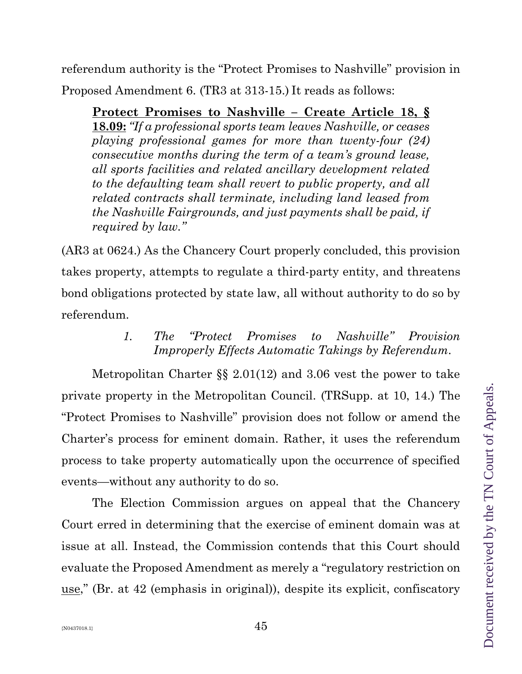referendum authority is the "Protect Promises to Nashville" provision in Proposed Amendment 6. (TR3 at 313-15.) It reads as follows:

**Protect Promises to Nashville – Create Article 18, § 18.09:** *"If a professional sports team leaves Nashville, or ceases playing professional games for more than twenty-four (24) consecutive months during the term of a team's ground lease, all sports facilities and related ancillary development related to the defaulting team shall revert to public property, and all related contracts shall terminate, including land leased from the Nashville Fairgrounds, and just payments shall be paid, if required by law."*

(AR3 at 0624.) As the Chancery Court properly concluded, this provision takes property, attempts to regulate a third-party entity, and threatens bond obligations protected by state law, all without authority to do so by referendum.

> *1. The "Protect Promises to Nashville" Provision Improperly Effects Automatic Takings by Referendum*.

Metropolitan Charter §§ 2.01(12) and 3.06 vest the power to take private property in the Metropolitan Council. (TRSupp. at 10, 14.) The "Protect Promises to Nashville" provision does not follow or amend the Charter's process for eminent domain. Rather, it uses the referendum process to take property automatically upon the occurrence of specified events—without any authority to do so.

The Election Commission argues on appeal that the Chancery Court erred in determining that the exercise of eminent domain was at issue at all. Instead, the Commission contends that this Court should evaluate the Proposed Amendment as merely a "regulatory restriction on use," (Br. at 42 (emphasis in original)), despite its explicit, confiscatory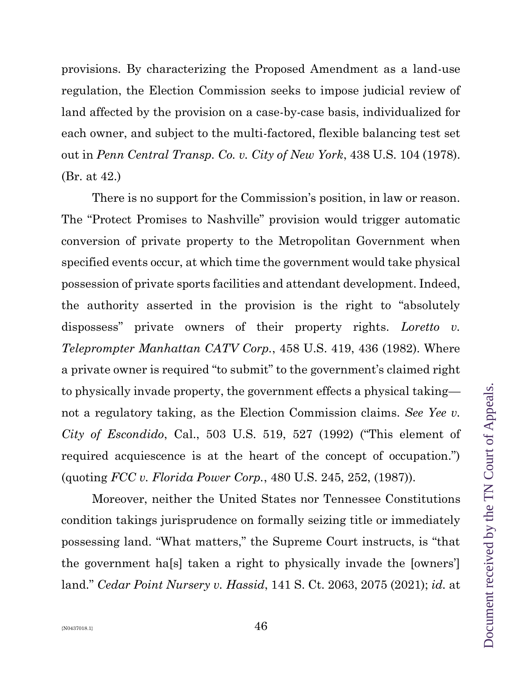provisions. By characterizing the Proposed Amendment as a land-use regulation, the Election Commission seeks to impose judicial review of land affected by the provision on a case-by-case basis, individualized for each owner, and subject to the multi-factored, flexible balancing test set out in *Penn Central Transp. Co. v. City of New York*, 438 U.S. 104 (1978). (Br. at 42.)

There is no support for the Commission's position, in law or reason. The "Protect Promises to Nashville" provision would trigger automatic conversion of private property to the Metropolitan Government when specified events occur, at which time the government would take physical possession of private sports facilities and attendant development. Indeed, the authority asserted in the provision is the right to "absolutely dispossess" private owners of their property rights. *Loretto v. Teleprompter Manhattan CATV Corp.*, 458 U.S. 419, 436 (1982). Where a private owner is required "to submit" to the government's claimed right to physically invade property, the government effects a physical taking not a regulatory taking, as the Election Commission claims. *See Yee v. City of Escondido*, Cal., 503 U.S. 519, 527 (1992) ("This element of required acquiescence is at the heart of the concept of occupation.") (quoting *FCC v. Florida Power Corp.*, 480 U.S. 245, 252, (1987)).

Moreover, neither the United States nor Tennessee Constitutions condition takings jurisprudence on formally seizing title or immediately possessing land. "What matters," the Supreme Court instructs, is "that the government ha[s] taken a right to physically invade the [owners'] land." *Cedar Point Nursery v. Hassid*, 141 S. Ct. 2063, 2075 (2021); *id.* at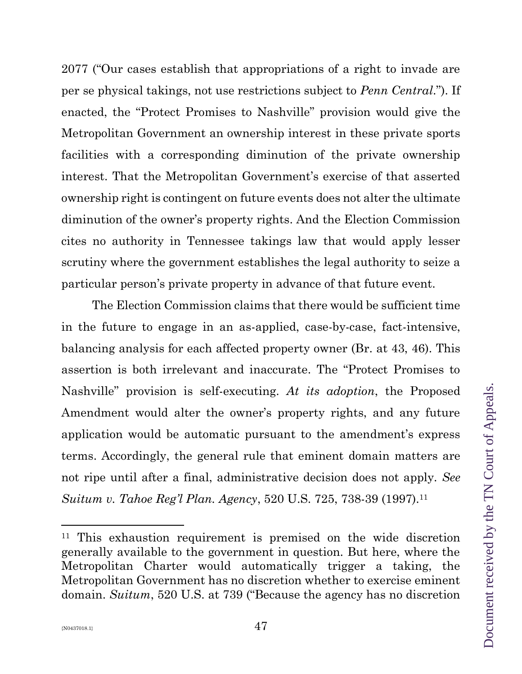2077 ("Our cases establish that appropriations of a right to invade are per se physical takings, not use restrictions subject to *Penn Central*."). If enacted, the "Protect Promises to Nashville" provision would give the Metropolitan Government an ownership interest in these private sports facilities with a corresponding diminution of the private ownership interest. That the Metropolitan Government's exercise of that asserted ownership right is contingent on future events does not alter the ultimate diminution of the owner's property rights. And the Election Commission cites no authority in Tennessee takings law that would apply lesser scrutiny where the government establishes the legal authority to seize a particular person's private property in advance of that future event.

The Election Commission claims that there would be sufficient time in the future to engage in an as-applied, case-by-case, fact-intensive, balancing analysis for each affected property owner (Br. at 43, 46). This assertion is both irrelevant and inaccurate. The "Protect Promises to Nashville" provision is self-executing. *At its adoption*, the Proposed Amendment would alter the owner's property rights, and any future application would be automatic pursuant to the amendment's express terms. Accordingly, the general rule that eminent domain matters are not ripe until after a final, administrative decision does not apply. *See Suitum v. Tahoe Reg'l Plan. Agency*, 520 U.S. 725, 738-39 (1997).<sup>11</sup>

<sup>11</sup> This exhaustion requirement is premised on the wide discretion generally available to the government in question. But here, where the Metropolitan Charter would automatically trigger a taking, the Metropolitan Government has no discretion whether to exercise eminent domain. *Suitum*, 520 U.S. at 739 ("Because the agency has no discretion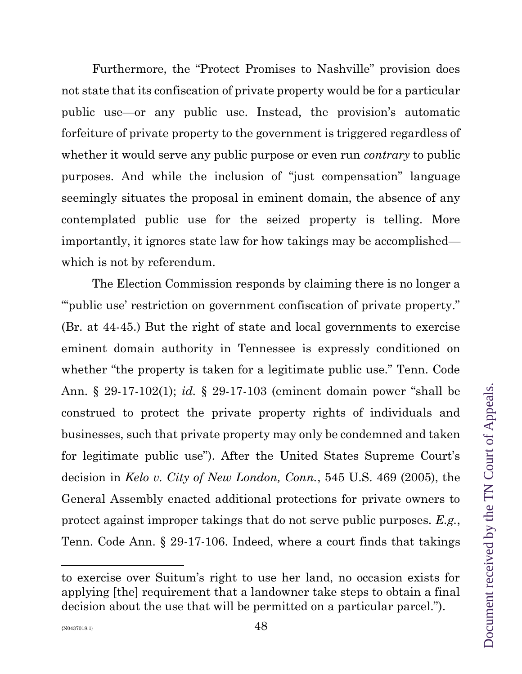Furthermore, the "Protect Promises to Nashville" provision does not state that its confiscation of private property would be for a particular public use—or any public use. Instead, the provision's automatic forfeiture of private property to the government is triggered regardless of whether it would serve any public purpose or even run *contrary* to public purposes. And while the inclusion of "just compensation" language seemingly situates the proposal in eminent domain, the absence of any contemplated public use for the seized property is telling. More importantly, it ignores state law for how takings may be accomplished which is not by referendum.

The Election Commission responds by claiming there is no longer a "'public use' restriction on government confiscation of private property." (Br. at 44-45.) But the right of state and local governments to exercise eminent domain authority in Tennessee is expressly conditioned on whether "the property is taken for a legitimate public use." Tenn. Code Ann. § 29-17-102(1); *id.* § 29-17-103 (eminent domain power "shall be construed to protect the private property rights of individuals and businesses, such that private property may only be condemned and taken for legitimate public use"). After the United States Supreme Court's decision in *Kelo v. City of New London, Conn.*, 545 U.S. 469 (2005), the General Assembly enacted additional protections for private owners to protect against improper takings that do not serve public purposes. *E.g.*, Tenn. Code Ann. § 29-17-106. Indeed, where a court finds that takings

to exercise over Suitum's right to use her land, no occasion exists for applying [the] requirement that a landowner take steps to obtain a final decision about the use that will be permitted on a particular parcel.").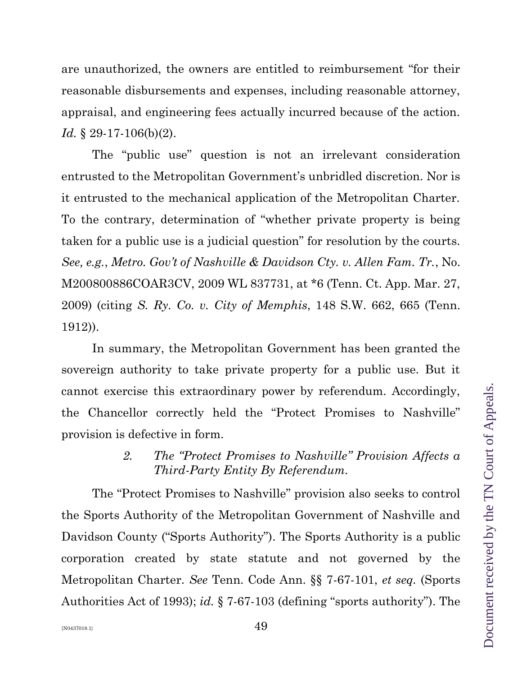are unauthorized, the owners are entitled to reimbursement "for their reasonable disbursements and expenses, including reasonable attorney, appraisal, and engineering fees actually incurred because of the action. *Id.* § 29-17-106(b)(2).

The "public use" question is not an irrelevant consideration entrusted to the Metropolitan Government's unbridled discretion. Nor is it entrusted to the mechanical application of the Metropolitan Charter. To the contrary, determination of "whether private property is being taken for a public use is a judicial question" for resolution by the courts. *See, e.g.*, *Metro. Gov't of Nashville & Davidson Cty. v. Allen Fam. Tr.*, No. M200800886COAR3CV, 2009 WL 837731, at \*6 (Tenn. Ct. App. Mar. 27, 2009) (citing *S. Ry. Co. v. City of Memphis*, 148 S.W. 662, 665 (Tenn. 1912)).

In summary, the Metropolitan Government has been granted the sovereign authority to take private property for a public use. But it cannot exercise this extraordinary power by referendum. Accordingly, the Chancellor correctly held the "Protect Promises to Nashville" provision is defective in form.

## *2. The "Protect Promises to Nashville" Provision Affects a Third-Party Entity By Referendum.*

The "Protect Promises to Nashville" provision also seeks to control the Sports Authority of the Metropolitan Government of Nashville and Davidson County ("Sports Authority"). The Sports Authority is a public corporation created by state statute and not governed by the Metropolitan Charter. *See* Tenn. Code Ann. §§ 7-67-101, *et seq.* (Sports Authorities Act of 1993); *id.* § 7-67-103 (defining "sports authority"). The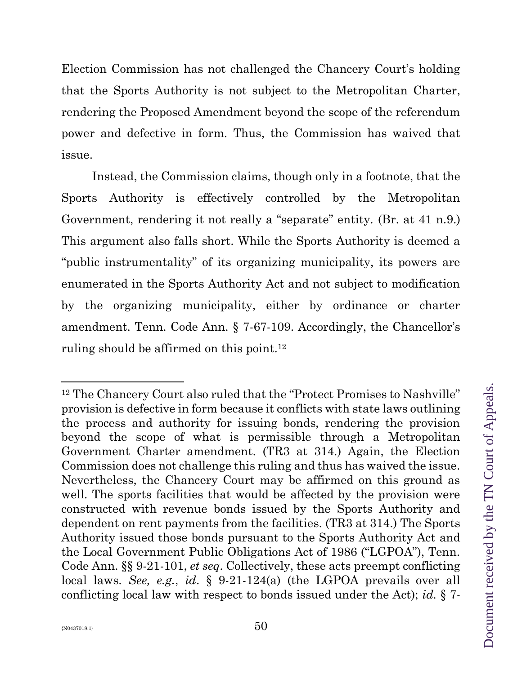Election Commission has not challenged the Chancery Court's holding that the Sports Authority is not subject to the Metropolitan Charter, rendering the Proposed Amendment beyond the scope of the referendum power and defective in form. Thus, the Commission has waived that issue.

Instead, the Commission claims, though only in a footnote, that the Sports Authority is effectively controlled by the Metropolitan Government, rendering it not really a "separate" entity. (Br. at 41 n.9.) This argument also falls short. While the Sports Authority is deemed a "public instrumentality" of its organizing municipality, its powers are enumerated in the Sports Authority Act and not subject to modification by the organizing municipality, either by ordinance or charter amendment. Tenn. Code Ann. § 7-67-109. Accordingly, the Chancellor's ruling should be affirmed on this point.<sup>12</sup>

<sup>&</sup>lt;sup>12</sup> The Chancery Court also ruled that the "Protect Promises to Nashville" provision is defective in form because it conflicts with state laws outlining the process and authority for issuing bonds, rendering the provision beyond the scope of what is permissible through a Metropolitan Government Charter amendment. (TR3 at 314.) Again, the Election Commission does not challenge this ruling and thus has waived the issue. Nevertheless, the Chancery Court may be affirmed on this ground as well. The sports facilities that would be affected by the provision were constructed with revenue bonds issued by the Sports Authority and dependent on rent payments from the facilities. (TR3 at 314.) The Sports Authority issued those bonds pursuant to the Sports Authority Act and the Local Government Public Obligations Act of 1986 ("LGPOA"), Tenn. Code Ann. §§ 9-21-101, *et seq*. Collectively, these acts preempt conflicting local laws. *See, e.g.*, *id*. § 9-21-124(a) (the LGPOA prevails over all conflicting local law with respect to bonds issued under the Act); *id.* § 7-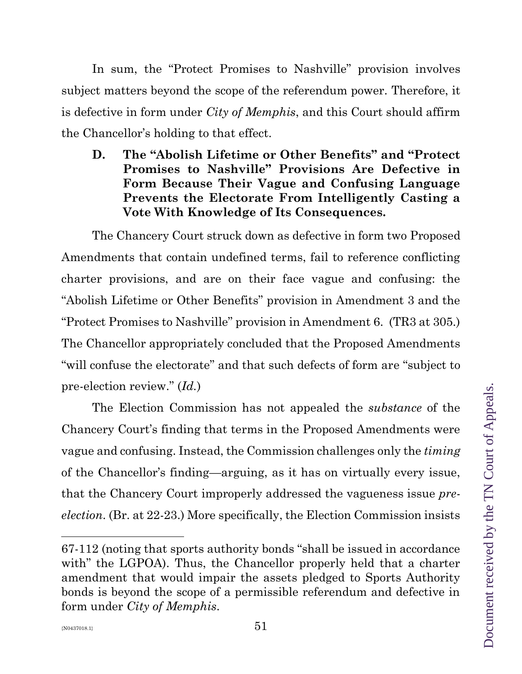In sum, the "Protect Promises to Nashville" provision involves subject matters beyond the scope of the referendum power. Therefore, it is defective in form under *City of Memphis*, and this Court should affirm the Chancellor's holding to that effect.

**D. The "Abolish Lifetime or Other Benefits" and "Protect Promises to Nashville" Provisions Are Defective in Form Because Their Vague and Confusing Language Prevents the Electorate From Intelligently Casting a Vote With Knowledge of Its Consequences.**

The Chancery Court struck down as defective in form two Proposed Amendments that contain undefined terms, fail to reference conflicting charter provisions, and are on their face vague and confusing: the "Abolish Lifetime or Other Benefits" provision in Amendment 3 and the "Protect Promises to Nashville" provision in Amendment 6. (TR3 at 305.) The Chancellor appropriately concluded that the Proposed Amendments "will confuse the electorate" and that such defects of form are "subject to pre-election review." (*Id.*)

The Election Commission has not appealed the *substance* of the Chancery Court's finding that terms in the Proposed Amendments were vague and confusing. Instead, the Commission challenges only the *timing*  of the Chancellor's finding—arguing, as it has on virtually every issue, that the Chancery Court improperly addressed the vagueness issue *preelection*. (Br. at 22-23.) More specifically, the Election Commission insists

<sup>67-</sup>112 (noting that sports authority bonds "shall be issued in accordance with" the LGPOA). Thus, the Chancellor properly held that a charter amendment that would impair the assets pledged to Sports Authority bonds is beyond the scope of a permissible referendum and defective in form under *City of Memphis*.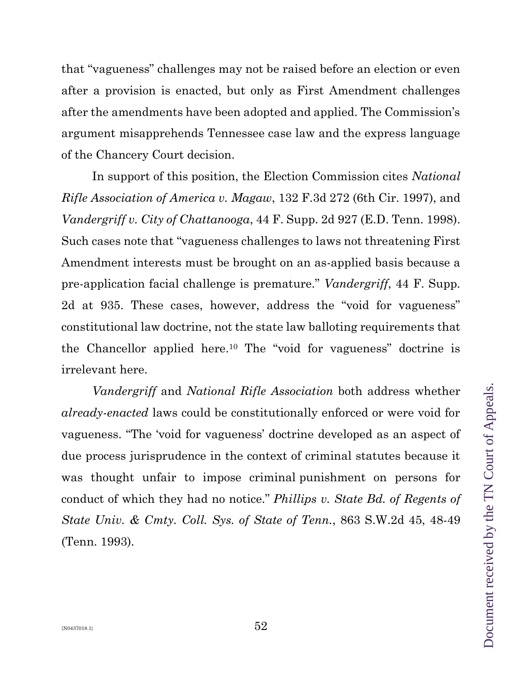that "vagueness" challenges may not be raised before an election or even after a provision is enacted, but only as First Amendment challenges after the amendments have been adopted and applied. The Commission's argument misapprehends Tennessee case law and the express language of the Chancery Court decision.

In support of this position, the Election Commission cites *National Rifle Association of America v. Magaw*, 132 F.3d 272 (6th Cir. 1997), and *Vandergriff v. City of Chattanooga*, 44 F. Supp. 2d 927 (E.D. Tenn. 1998). Such cases note that "vagueness challenges to laws not threatening First Amendment interests must be brought on an as-applied basis because a pre-application facial challenge is premature." *Vandergriff*, 44 F. Supp. 2d at 935. These cases, however, address the "void for vagueness" constitutional law doctrine, not the state law balloting requirements that the Chancellor applied here. <sup>10</sup> The "void for vagueness" doctrine is irrelevant here.

*Vandergriff* and *National Rifle Association* both address whether *already-enacted* laws could be constitutionally enforced or were void for vagueness. "The 'void for vagueness' doctrine developed as an aspect of due process jurisprudence in the context of criminal statutes because it was thought unfair to impose criminal punishment on persons for conduct of which they had no notice." *Phillips v. State Bd. of Regents of State Univ. & Cmty. Coll. Sys. of State of Tenn.*, 863 S.W.2d 45, 48-49 (Tenn. 1993).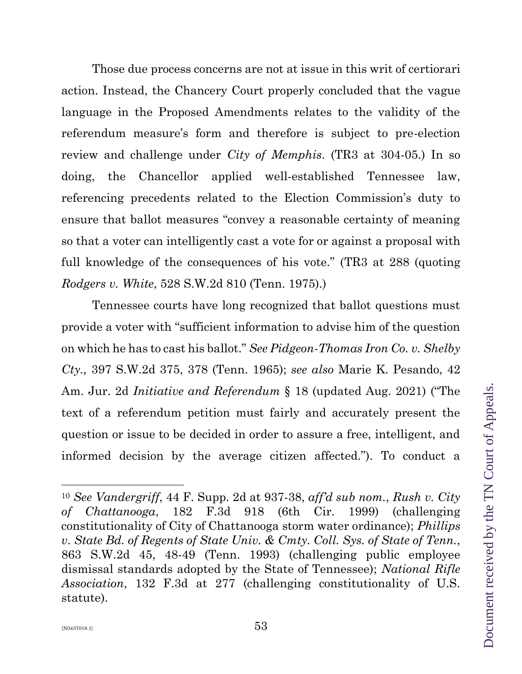Those due process concerns are not at issue in this writ of certiorari action. Instead, the Chancery Court properly concluded that the vague language in the Proposed Amendments relates to the validity of the referendum measure's form and therefore is subject to pre-election review and challenge under *City of Memphis*. (TR3 at 304-05.) In so doing, the Chancellor applied well-established Tennessee law, referencing precedents related to the Election Commission's duty to ensure that ballot measures "convey a reasonable certainty of meaning so that a voter can intelligently cast a vote for or against a proposal with full knowledge of the consequences of his vote." (TR3 at 288 (quoting *Rodgers v. White*, 528 S.W.2d 810 (Tenn. 1975).)

Tennessee courts have long recognized that ballot questions must provide a voter with "sufficient information to advise him of the question on which he has to cast his ballot." *See Pidgeon-Thomas Iron Co. v. Shelby Cty.,* 397 S.W.2d 375, 378 (Tenn. 1965); *see also* Marie K. Pesando, 42 Am. Jur. 2d *Initiative and Referendum* § 18 (updated Aug. 2021) ("The text of a referendum petition must fairly and accurately present the question or issue to be decided in order to assure a free, intelligent, and informed decision by the average citizen affected."). To conduct a

<sup>10</sup> *See Vandergriff*, 44 F. Supp. 2d at 937-38, *aff'd sub nom.*, *Rush v. City of Chattanooga*, 182 F.3d 918 (6th Cir. 1999) (challenging constitutionality of City of Chattanooga storm water ordinance); *Phillips v. State Bd. of Regents of State Univ. & Cmty. Coll. Sys. of State of Tenn.*, 863 S.W.2d 45, 48-49 (Tenn. 1993) (challenging public employee dismissal standards adopted by the State of Tennessee); *National Rifle Association*, 132 F.3d at 277 (challenging constitutionality of U.S. statute).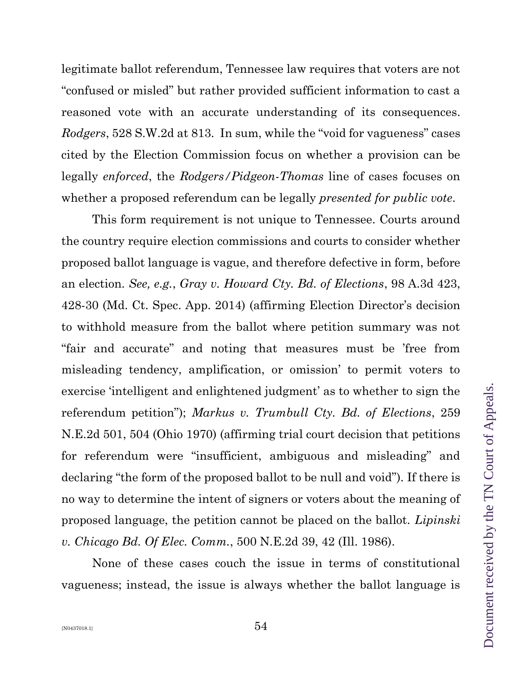legitimate ballot referendum, Tennessee law requires that voters are not "confused or misled" but rather provided sufficient information to cast a reasoned vote with an accurate understanding of its consequences. *Rodgers*, 528 S.W.2d at 813. In sum, while the "void for vagueness" cases cited by the Election Commission focus on whether a provision can be legally *enforced*, the *Rodgers/Pidgeon-Thomas* line of cases focuses on whether a proposed referendum can be legally *presented for public vote*.

This form requirement is not unique to Tennessee. Courts around the country require election commissions and courts to consider whether proposed ballot language is vague, and therefore defective in form, before an election. *See, e.g.*, *Gray v. Howard Cty. Bd. of Elections*, 98 A.3d 423, 428-30 (Md. Ct. Spec. App. 2014) (affirming Election Director's decision to withhold measure from the ballot where petition summary was not "fair and accurate" and noting that measures must be 'free from misleading tendency, amplification, or omission' to permit voters to exercise 'intelligent and enlightened judgment' as to whether to sign the referendum petition"); *Markus v. Trumbull Cty. Bd. of Elections*, 259 N.E.2d 501, 504 (Ohio 1970) (affirming trial court decision that petitions for referendum were "insufficient, ambiguous and misleading" and declaring "the form of the proposed ballot to be null and void"). If there is no way to determine the intent of signers or voters about the meaning of proposed language, the petition cannot be placed on the ballot. *Lipinski v. Chicago Bd. Of Elec. Comm.*, 500 N.E.2d 39, 42 (Ill. 1986).

None of these cases couch the issue in terms of constitutional vagueness; instead, the issue is always whether the ballot language is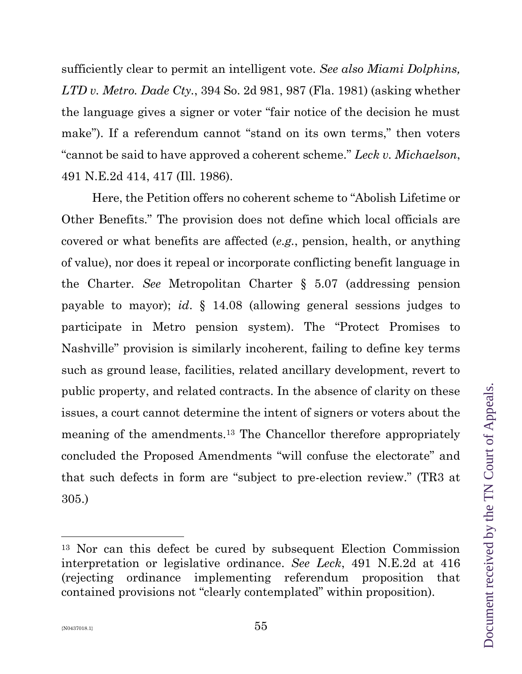sufficiently clear to permit an intelligent vote. *See also Miami Dolphins, LTD v. Metro. Dade Cty.*, 394 So. 2d 981, 987 (Fla. 1981) (asking whether the language gives a signer or voter "fair notice of the decision he must make"). If a referendum cannot "stand on its own terms," then voters "cannot be said to have approved a coherent scheme." *Leck v. Michaelson*, 491 N.E.2d 414, 417 (Ill. 1986).

Here, the Petition offers no coherent scheme to "Abolish Lifetime or Other Benefits." The provision does not define which local officials are covered or what benefits are affected (*e.g.*, pension, health, or anything of value), nor does it repeal or incorporate conflicting benefit language in the Charter. *See* Metropolitan Charter § 5.07 (addressing pension payable to mayor); *id*. § 14.08 (allowing general sessions judges to participate in Metro pension system). The "Protect Promises to Nashville" provision is similarly incoherent, failing to define key terms such as ground lease, facilities, related ancillary development, revert to public property, and related contracts. In the absence of clarity on these issues, a court cannot determine the intent of signers or voters about the meaning of the amendments.<sup>13</sup> The Chancellor therefore appropriately concluded the Proposed Amendments "will confuse the electorate" and that such defects in form are "subject to pre-election review." (TR3 at 305.)

<sup>13</sup> Nor can this defect be cured by subsequent Election Commission interpretation or legislative ordinance. *See Leck*, 491 N.E.2d at 416 (rejecting ordinance implementing referendum proposition that contained provisions not "clearly contemplated" within proposition).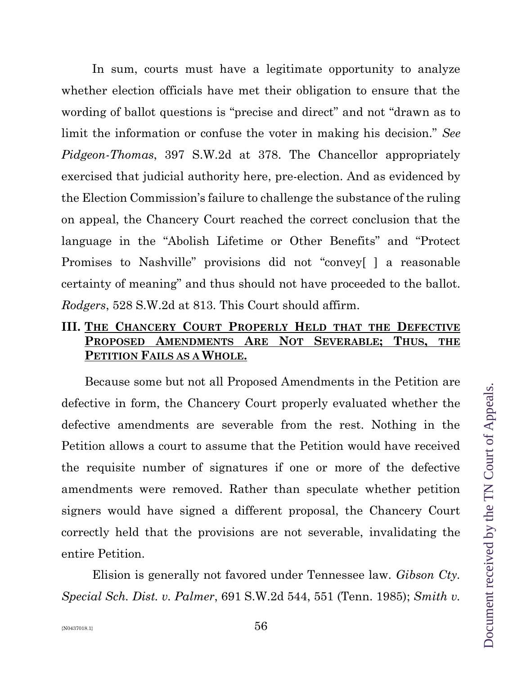In sum, courts must have a legitimate opportunity to analyze whether election officials have met their obligation to ensure that the wording of ballot questions is "precise and direct" and not "drawn as to limit the information or confuse the voter in making his decision." *See Pidgeon-Thomas*, 397 S.W.2d at 378. The Chancellor appropriately exercised that judicial authority here, pre-election. And as evidenced by the Election Commission's failure to challenge the substance of the ruling on appeal, the Chancery Court reached the correct conclusion that the language in the "Abolish Lifetime or Other Benefits" and "Protect Promises to Nashville" provisions did not "convey[ ] a reasonable certainty of meaning" and thus should not have proceeded to the ballot. *Rodgers*, 528 S.W.2d at 813. This Court should affirm.

## **III. THE CHANCERY COURT PROPERLY HELD THAT THE DEFECTIVE PROPOSED AMENDMENTS ARE NOT SEVERABLE; THUS, THE PETITION FAILS AS A WHOLE.**

Because some but not all Proposed Amendments in the Petition are defective in form, the Chancery Court properly evaluated whether the defective amendments are severable from the rest. Nothing in the Petition allows a court to assume that the Petition would have received the requisite number of signatures if one or more of the defective amendments were removed. Rather than speculate whether petition signers would have signed a different proposal, the Chancery Court correctly held that the provisions are not severable, invalidating the entire Petition.

Elision is generally not favored under Tennessee law. *Gibson Cty. Special Sch. Dist. v. Palmer*, 691 S.W.2d 544, 551 (Tenn. 1985); *Smith v.*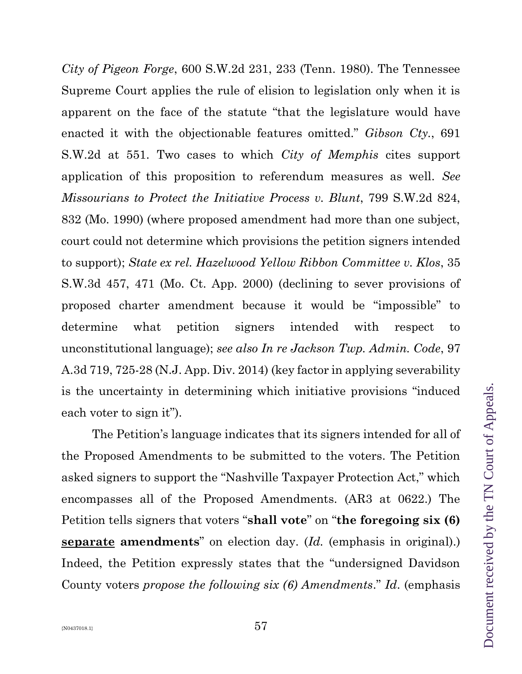*City of Pigeon Forge*, 600 S.W.2d 231, 233 (Tenn. 1980). The Tennessee Supreme Court applies the rule of elision to legislation only when it is apparent on the face of the statute "that the legislature would have enacted it with the objectionable features omitted." *Gibson Cty.*, 691 S.W.2d at 551. Two cases to which *City of Memphis* cites support application of this proposition to referendum measures as well. *See Missourians to Protect the Initiative Process v. Blunt*, 799 S.W.2d 824, 832 (Mo. 1990) (where proposed amendment had more than one subject, court could not determine which provisions the petition signers intended to support); *State ex rel. Hazelwood Yellow Ribbon Committee v. Klos*, 35 S.W.3d 457, 471 (Mo. Ct. App. 2000) (declining to sever provisions of proposed charter amendment because it would be "impossible" to determine what petition signers intended with respect to unconstitutional language); *see also In re Jackson Twp. Admin. Code*, 97 A.3d 719, 725-28 (N.J. App. Div. 2014) (key factor in applying severability is the uncertainty in determining which initiative provisions "induced each voter to sign it").

The Petition's language indicates that its signers intended for all of the Proposed Amendments to be submitted to the voters. The Petition asked signers to support the "Nashville Taxpayer Protection Act," which encompasses all of the Proposed Amendments. (AR3 at 0622.) The Petition tells signers that voters "**shall vote**" on "**the foregoing six (6) separate amendments**" on election day. (*Id.* (emphasis in original).) Indeed, the Petition expressly states that the "undersigned Davidson County voters *propose the following six (6) Amendments*." *Id*. (emphasis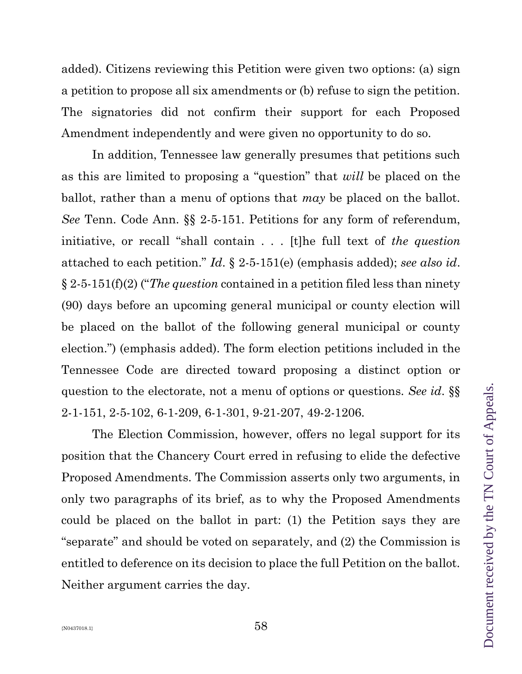added). Citizens reviewing this Petition were given two options: (a) sign a petition to propose all six amendments or (b) refuse to sign the petition. The signatories did not confirm their support for each Proposed Amendment independently and were given no opportunity to do so.

In addition, Tennessee law generally presumes that petitions such as this are limited to proposing a "question" that *will* be placed on the ballot, rather than a menu of options that *may* be placed on the ballot. *See* Tenn. Code Ann. §§ 2-5-151. Petitions for any form of referendum, initiative, or recall "shall contain . . . [t]he full text of *the question* attached to each petition." *Id*. § 2-5-151(e) (emphasis added); *see also id*. § 2-5-151(f)(2) ("*The question* contained in a petition filed less than ninety (90) days before an upcoming general municipal or county election will be placed on the ballot of the following general municipal or county election.") (emphasis added). The form election petitions included in the Tennessee Code are directed toward proposing a distinct option or question to the electorate, not a menu of options or questions. *See id*. §§ 2-1-151, 2-5-102, 6-1-209, 6-1-301, 9-21-207, 49-2-1206.

The Election Commission, however, offers no legal support for its position that the Chancery Court erred in refusing to elide the defective Proposed Amendments. The Commission asserts only two arguments, in only two paragraphs of its brief, as to why the Proposed Amendments could be placed on the ballot in part: (1) the Petition says they are "separate" and should be voted on separately, and (2) the Commission is entitled to deference on its decision to place the full Petition on the ballot. Neither argument carries the day.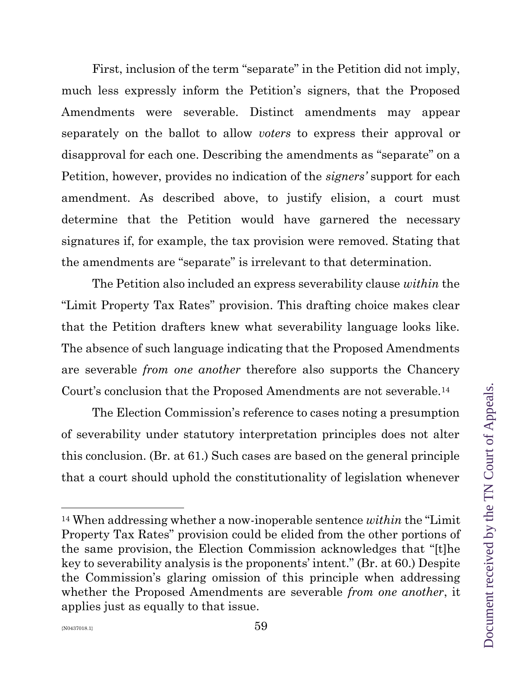First, inclusion of the term "separate" in the Petition did not imply, much less expressly inform the Petition's signers, that the Proposed Amendments were severable. Distinct amendments may appear separately on the ballot to allow *voters* to express their approval or disapproval for each one. Describing the amendments as "separate" on a Petition, however, provides no indication of the *signers'* support for each amendment. As described above, to justify elision, a court must determine that the Petition would have garnered the necessary signatures if, for example, the tax provision were removed. Stating that the amendments are "separate" is irrelevant to that determination.

The Petition also included an express severability clause *within* the "Limit Property Tax Rates" provision. This drafting choice makes clear that the Petition drafters knew what severability language looks like. The absence of such language indicating that the Proposed Amendments are severable *from one another* therefore also supports the Chancery Court's conclusion that the Proposed Amendments are not severable.<sup>14</sup>

The Election Commission's reference to cases noting a presumption of severability under statutory interpretation principles does not alter this conclusion. (Br. at 61.) Such cases are based on the general principle that a court should uphold the constitutionality of legislation whenever

<sup>14</sup> When addressing whether a now-inoperable sentence *within* the "Limit Property Tax Rates" provision could be elided from the other portions of the same provision, the Election Commission acknowledges that "[t]he key to severability analysis is the proponents' intent." (Br. at 60.) Despite the Commission's glaring omission of this principle when addressing whether the Proposed Amendments are severable *from one another*, it applies just as equally to that issue.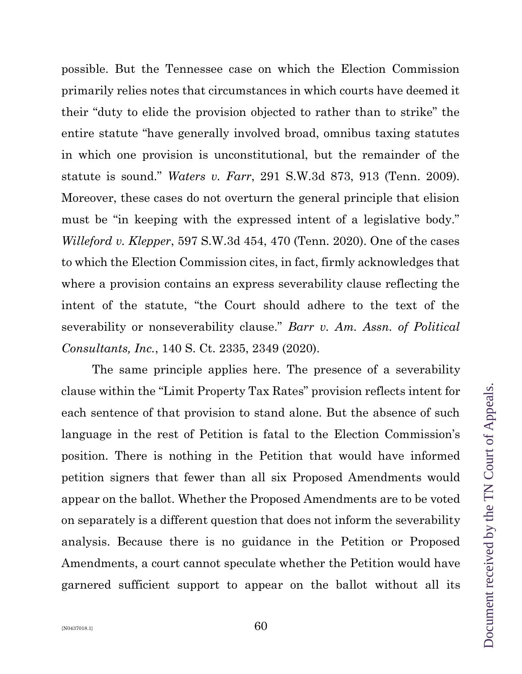possible. But the Tennessee case on which the Election Commission primarily relies notes that circumstances in which courts have deemed it their "duty to elide the provision objected to rather than to strike" the entire statute "have generally involved broad, omnibus taxing statutes in which one provision is unconstitutional, but the remainder of the statute is sound." *Waters v. Farr*, 291 S.W.3d 873, 913 (Tenn. 2009). Moreover, these cases do not overturn the general principle that elision must be "in keeping with the expressed intent of a legislative body." *Willeford v. Klepper*, 597 S.W.3d 454, 470 (Tenn. 2020). One of the cases to which the Election Commission cites, in fact, firmly acknowledges that where a provision contains an express severability clause reflecting the intent of the statute, "the Court should adhere to the text of the severability or nonseverability clause." *Barr v. Am. Assn. of Political Consultants, Inc.*, 140 S. Ct. 2335, 2349 (2020).

The same principle applies here. The presence of a severability clause within the "Limit Property Tax Rates" provision reflects intent for each sentence of that provision to stand alone. But the absence of such language in the rest of Petition is fatal to the Election Commission's position. There is nothing in the Petition that would have informed petition signers that fewer than all six Proposed Amendments would appear on the ballot. Whether the Proposed Amendments are to be voted on separately is a different question that does not inform the severability analysis. Because there is no guidance in the Petition or Proposed Amendments, a court cannot speculate whether the Petition would have garnered sufficient support to appear on the ballot without all its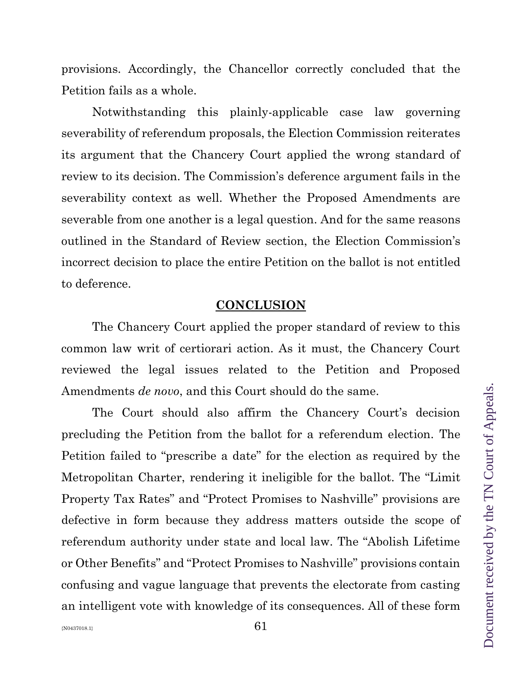provisions. Accordingly, the Chancellor correctly concluded that the Petition fails as a whole.

Notwithstanding this plainly-applicable case law governing severability of referendum proposals, the Election Commission reiterates its argument that the Chancery Court applied the wrong standard of review to its decision. The Commission's deference argument fails in the severability context as well. Whether the Proposed Amendments are severable from one another is a legal question. And for the same reasons outlined in the Standard of Review section, the Election Commission's incorrect decision to place the entire Petition on the ballot is not entitled to deference.

#### **CONCLUSION**

The Chancery Court applied the proper standard of review to this common law writ of certiorari action. As it must, the Chancery Court reviewed the legal issues related to the Petition and Proposed Amendments *de novo*, and this Court should do the same.

The Court should also affirm the Chancery Court's decision precluding the Petition from the ballot for a referendum election. The Petition failed to "prescribe a date" for the election as required by the Metropolitan Charter, rendering it ineligible for the ballot. The "Limit Property Tax Rates" and "Protect Promises to Nashville" provisions are defective in form because they address matters outside the scope of referendum authority under state and local law. The "Abolish Lifetime or Other Benefits" and "Protect Promises to Nashville" provisions contain confusing and vague language that prevents the electorate from casting an intelligent vote with knowledge of its consequences. All of these form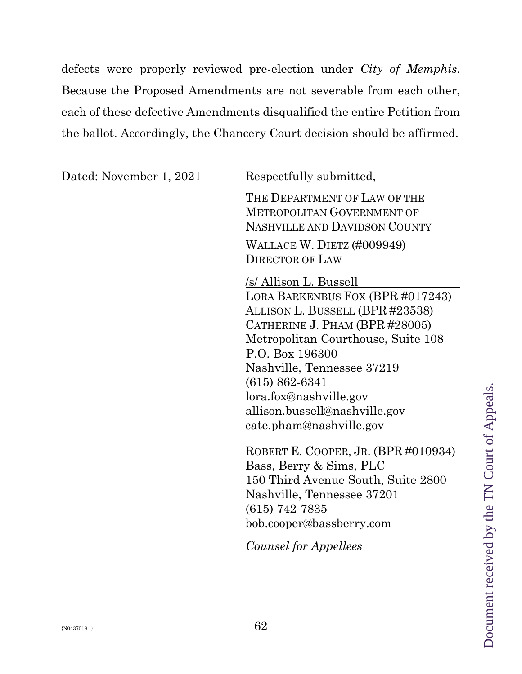defects were properly reviewed pre-election under *City of Memphis*. Because the Proposed Amendments are not severable from each other, each of these defective Amendments disqualified the entire Petition from the ballot. Accordingly, the Chancery Court decision should be affirmed.

Dated: November 1, 2021 Respectfully submitted,

THE DEPARTMENT OF LAW OF THE METROPOLITAN GOVERNMENT OF NASHVILLE AND DAVIDSON COUNTY

WALLACE W. DIETZ (#009949) DIRECTOR OF LAW

/s/ Allison L. Bussell LORA BARKENBUS FOX (BPR #017243) ALLISON L. BUSSELL (BPR #23538) CATHERINE J. PHAM (BPR #28005) Metropolitan Courthouse, Suite 108 P.O. Box 196300 Nashville, Tennessee 37219 (615) 862-6341 lora.fox@nashville.gov allison.bussell@nashville.gov cate.pham@nashville.gov

ROBERT E. COOPER, JR. (BPR #010934) Bass, Berry & Sims, PLC 150 Third Avenue South, Suite 2800 Nashville, Tennessee 37201 (615) 742-7835 [bob.cooper@bassberry.com](mailto:bob.cooper@bassberry.com) 

*Counsel for Appellees*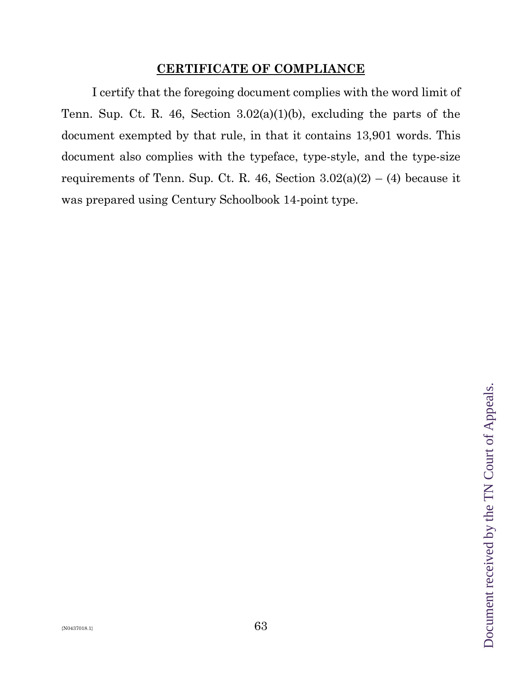## **CERTIFICATE OF COMPLIANCE**

I certify that the foregoing document complies with the word limit of Tenn. Sup. Ct. R. 46, Section 3.02(a)(1)(b), excluding the parts of the document exempted by that rule, in that it contains 13,901 words. This document also complies with the typeface, type-style, and the type-size requirements of Tenn. Sup. Ct. R. 46, Section  $3.02(a)(2) - (4)$  because it was prepared using Century Schoolbook 14-point type.